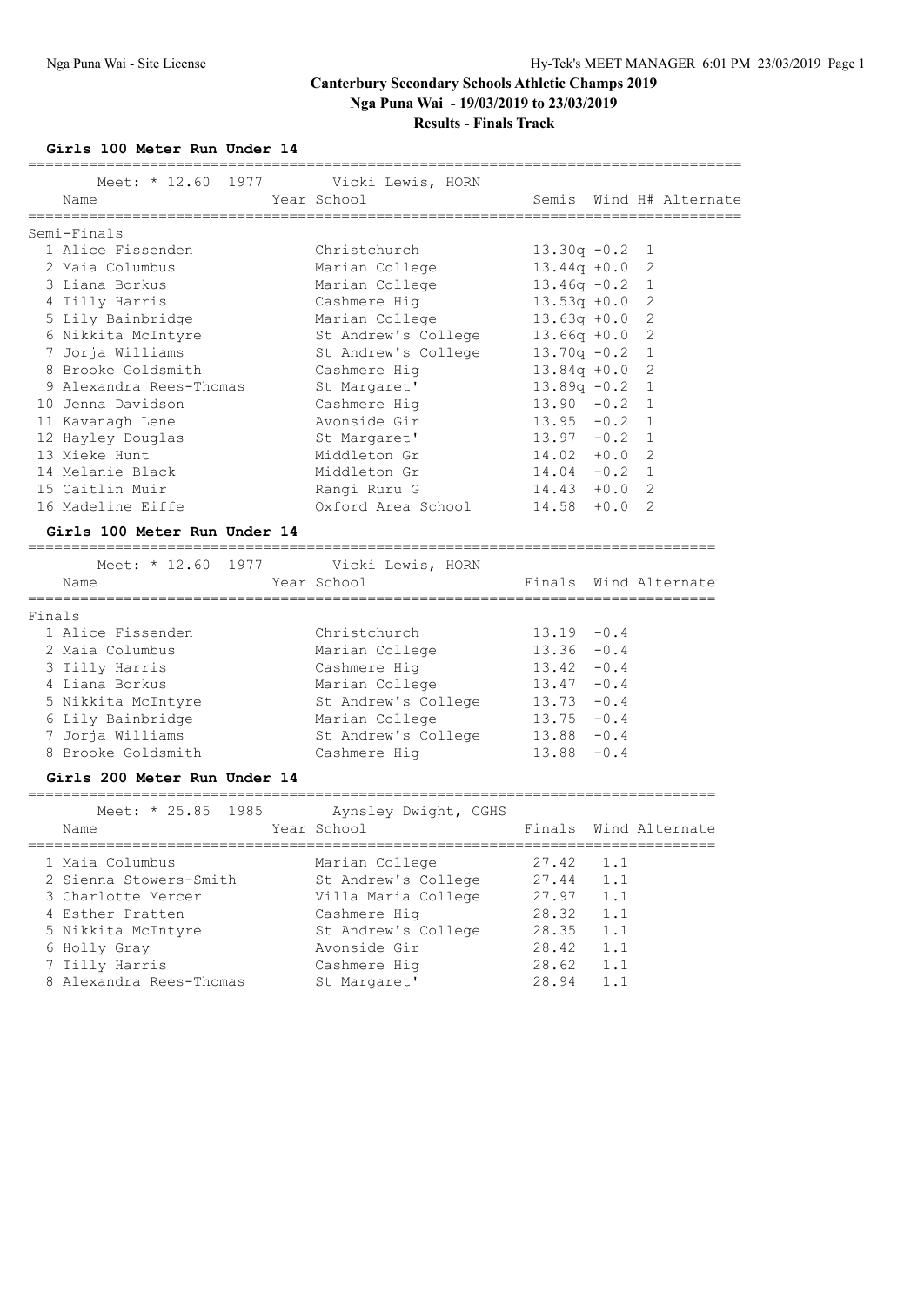#### **Girls 100 Meter Run Under 14**

| Meet: * 12.60 1977 Vicki Lewis, HORN<br>Name | Year School                       |                  |        |                | Semis Wind H# Alternate |
|----------------------------------------------|-----------------------------------|------------------|--------|----------------|-------------------------|
| Semi-Finals                                  |                                   |                  |        |                |                         |
| 1 Alice Fissenden                            | Christchurch                      | $13.30q -0.2$ 1  |        |                |                         |
| 2 Maia Columbus                              | Marian College                    | $13.44q + 0.02$  |        |                |                         |
| 3 Liana Borkus                               | Marian College                    | $13.46q -0.2$ 1  |        |                |                         |
| 4 Tilly Harris                               | Cashmere Hig                      | $13.53q + 0.0$ 2 |        |                |                         |
| 5 Lily Bainbridge                            | Marian College 13.63q +0.0 2      |                  |        |                |                         |
| 6 Nikkita McIntyre                           | St Andrew's College               | $13.66q +0.0$ 2  |        |                |                         |
| 7 Jorja Williams                             | St Andrew's College 13.70q -0.2 1 |                  |        |                |                         |
| 8 Brooke Goldsmith                           | Cashmere Hig                      | $13.84q +0.0$ 2  |        |                |                         |
| 9 Alexandra Rees-Thomas                      | St Margaret'                      | $13.89q - 0.2$ 1 |        |                |                         |
| 10 Jenna Davidson                            | Cashmere Hiq                      | $13.90 - 0.2 1$  |        |                |                         |
| 11 Kavanagh Lene                             | Avonside Gir                      | $13.95 -0.2$ 1   |        |                |                         |
| 12 Hayley Douglas                            | $13.97 -0.2$ 1<br>St Margaret'    |                  |        |                |                         |
| 13 Mieke Hunt                                | Middleton Gr                      | $14.02 + 0.02$   |        |                |                         |
| 14 Melanie Black                             | Middleton Gr                      | $14.04 - 0.2$ 1  |        |                |                         |
| 15 Caitlin Muir                              | Rangi Ruru G<br>$14.43 + 0.02$    |                  |        |                |                         |
| 16 Madeline Eiffe                            | Oxford Area School 14.58          |                  | $+0.0$ | $\mathfrak{D}$ |                         |

# **Girls 100 Meter Run Under 14**

|        | Meet: * 12.60 1977<br>Name | Vicki Lewis, HORN<br>Year School |               | Finals Wind Alternate |
|--------|----------------------------|----------------------------------|---------------|-----------------------|
| Finals |                            |                                  |               |                       |
|        | 1 Alice Fissenden          | Christchurch                     | $13.19 - 0.4$ |                       |
|        | 2 Maia Columbus            | Marian College                   | $13.36 - 0.4$ |                       |
|        | 3 Tilly Harris             | Cashmere Hig                     | $13.42 - 0.4$ |                       |
|        | 4 Liana Borkus             | Marian College                   | $13.47 - 0.4$ |                       |
|        | 5 Nikkita McIntyre         | St Andrew's College              | $13.73 - 0.4$ |                       |
|        | 6 Lily Bainbridge          | Marian College                   | $13.75 - 0.4$ |                       |
|        | 7 Jorja Williams           | St Andrew's College              | $13.88 - 0.4$ |                       |
|        | 8 Brooke Goldsmith         | Cashmere Hig                     | $13.88 - 0.4$ |                       |
|        |                            |                                  |               |                       |

#### **Girls 200 Meter Run Under 14**

| Meet: $* 25.85 1985$    | Aynsley Dwight, CGHS |       |                       |
|-------------------------|----------------------|-------|-----------------------|
| Name                    | Year School          |       | Finals Wind Alternate |
|                         |                      | 27.42 | 1.1                   |
| 1 Maia Columbus         | Marian College       |       |                       |
| 2 Sienna Stowers-Smith  | St Andrew's College  | 27.44 | 1.1                   |
| 3 Charlotte Mercer      | Villa Maria College  | 27.97 | 1.1                   |
| 4 Esther Pratten        | Cashmere Hig         | 28.32 | 1.1                   |
| 5 Nikkita McIntyre      | St Andrew's College  | 28.35 | 1.1                   |
| 6 Holly Gray            | Avonside Gir         | 28.42 | 1.1                   |
| 7 Tilly Harris          | Cashmere Hig         | 28.62 | 1.1                   |
| 8 Alexandra Rees-Thomas | St Margaret'         | 28.94 | $1 \quad 1$           |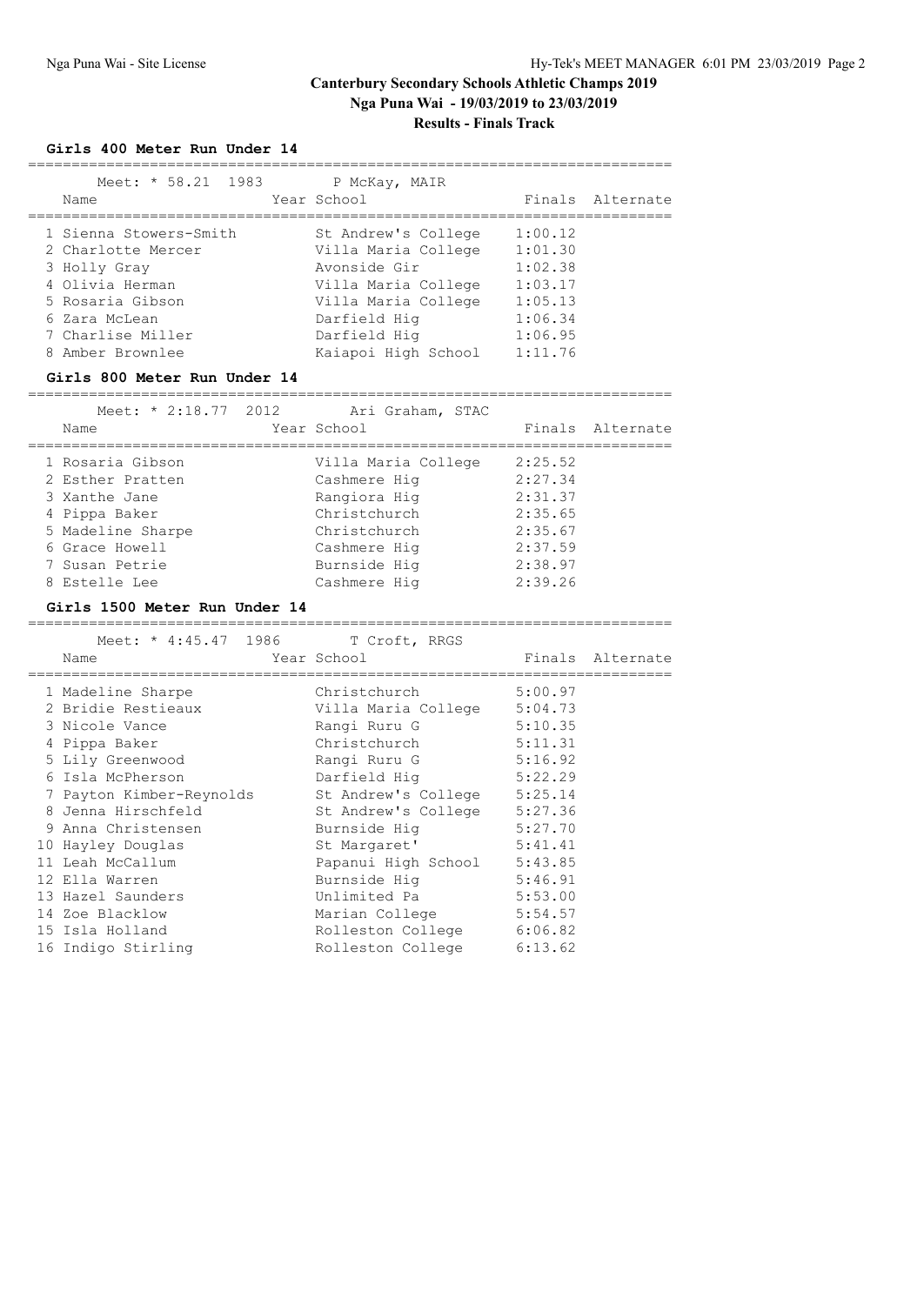#### **Girls 400 Meter Run Under 14**

| Meet: * 58.21 1983<br>Name                                                                                                                | P McKay, MAIR<br>Year School                                                                                                             |                                                                           | Finals Alternate |
|-------------------------------------------------------------------------------------------------------------------------------------------|------------------------------------------------------------------------------------------------------------------------------------------|---------------------------------------------------------------------------|------------------|
| 1 Sienna Stowers-Smith<br>2 Charlotte Mercer<br>3 Holly Gray<br>4 Olivia Herman<br>5 Rosaria Gibson<br>6 Zara McLean<br>7 Charlise Miller | St Andrew's College<br>Villa Maria College<br>Avonside Gir<br>Villa Maria College<br>Villa Maria College<br>Darfield Hig<br>Darfield Hig | 1:00.12<br>1:01.30<br>1:02.38<br>1:03.17<br>1:05.13<br>1:06.34<br>1:06.95 |                  |
| 8 Amber Brownlee                                                                                                                          | Kaiapoi High School                                                                                                                      | 1:11.76                                                                   |                  |

#### **Girls 800 Meter Run Under 14**

==========================================================================  $M = 2.40 - 77$  2012

| Name              | Meet: $\frac{x}{2}$ :18.77 $\frac{2012}{201}$ Ari Graham, STAC<br>Year School |         | Finals Alternate |
|-------------------|-------------------------------------------------------------------------------|---------|------------------|
| 1 Rosaria Gibson  | Villa Maria College                                                           | 2:25.52 |                  |
| 2 Esther Pratten  | Cashmere Hig                                                                  | 2:27.34 |                  |
| 3 Xanthe Jane     | Rangiora Hig                                                                  | 2:31.37 |                  |
| 4 Pippa Baker     | Christchurch                                                                  | 2:35.65 |                  |
| 5 Madeline Sharpe | Christchurch                                                                  | 2:35.67 |                  |
| 6 Grace Howell    | Cashmere Hig                                                                  | 2:37.59 |                  |
| 7 Susan Petrie    | Burnside Hig                                                                  | 2:38.97 |                  |
| 8 Estelle Lee     | Cashmere Hig                                                                  | 2:39.26 |                  |

#### **Girls 1500 Meter Run Under 14**

========================================================================== Meet: \* 4:45.47 1986 T Croft, RRGS Name **The School** Year School **Finals Alternate** ========================================================================== 1 Madeline Sharpe Christchurch 5:00.97 2 Bridie Restieaux Villa Maria College 5:04.73 3 Nicole Vance Rangi Ruru G 5:10.35 4 Pippa Baker Christchurch 5:11.31 5 Lily Greenwood Rangi Ruru G 5:16.92 6 Isla McPherson Darfield Hig 5:22.29 7 Payton Kimber-Reynolds St Andrew's College 5:25.14 8 Jenna Hirschfeld St Andrew's College 5:27.36 9 Anna Christensen Burnside Hig 5:27.70 10 Hayley Douglas St Margaret' 5:41.41 11 Leah McCallum Papanui High School 5:43.85 12 Ella Warren Burnside Hig 5:46.91 13 Hazel Saunders **13 Unlimited Pa** 5:53.00 14 Zoe Blacklow Marian College 5:54.57 15 Isla Holland Rolleston College 6:06.82 16 Indigo Stirling Rolleston College 6:13.62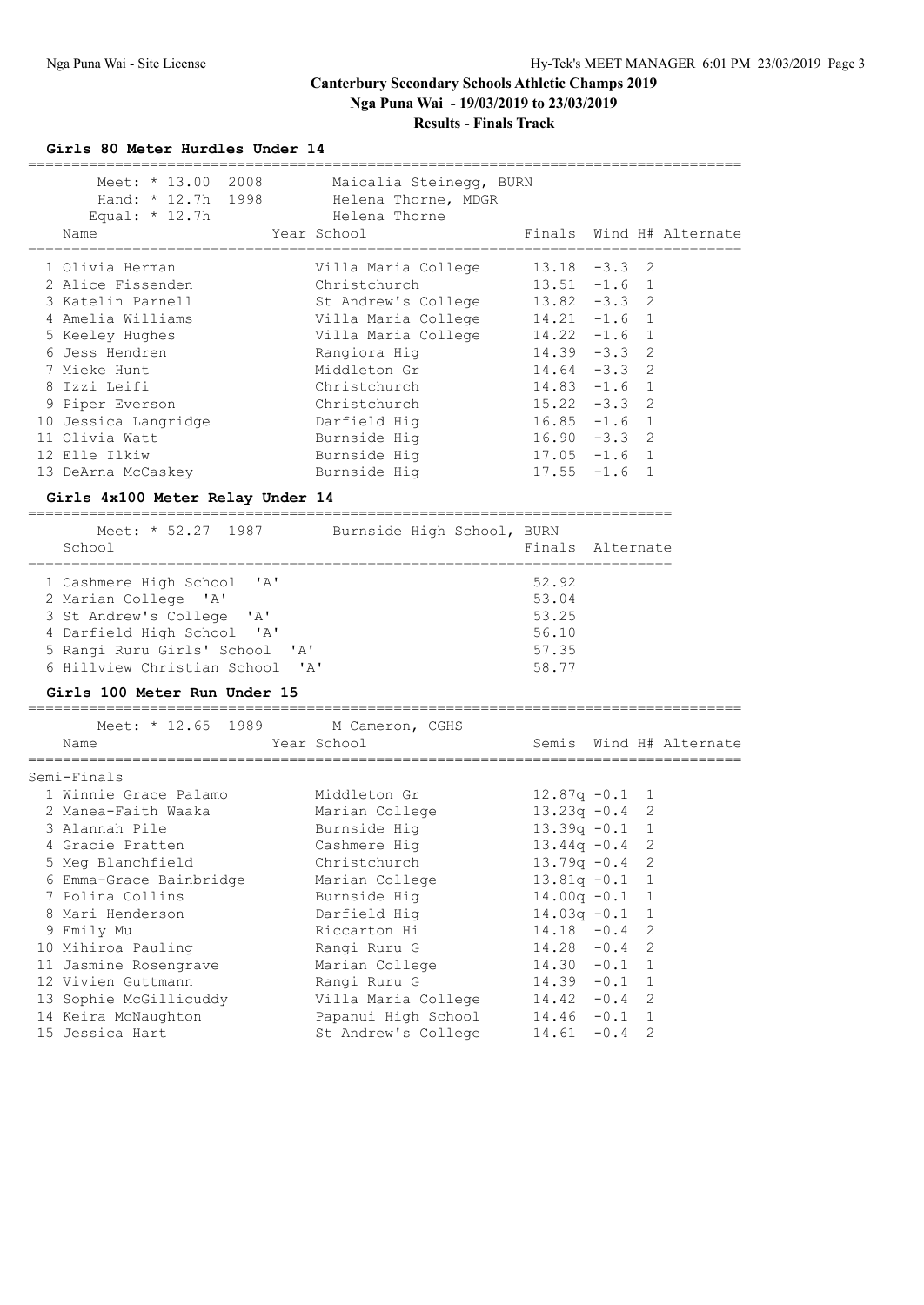# **Girls 80 Meter Hurdles Under 14**

|                                                                      |                                                                                |                              |           |                | -------------------------------- |
|----------------------------------------------------------------------|--------------------------------------------------------------------------------|------------------------------|-----------|----------------|----------------------------------|
| Meet: * 13.00 2008<br>Hand: * 12.7h 1998<br>Equal: $* 12.7h$<br>Name | Maicalia Steinegg, BURN<br>Helena Thorne, MDGR<br>Helena Thorne<br>Year School | Finals                       |           |                | Wind H# Alternate                |
|                                                                      |                                                                                | ;=========================== |           |                |                                  |
| 1 Olivia Herman                                                      | Villa Maria College                                                            | $13.18 - 3.3$                |           | 2              |                                  |
| 2 Alice Fissenden                                                    | Christchurch                                                                   | $13.51 - 1.6$ 1              |           |                |                                  |
| 3 Katelin Parnell                                                    | St Andrew's College                                                            | $13.82 - 3.3$ 2              |           |                |                                  |
| 4 Amelia Williams                                                    | Villa Maria College                                                            | $14.21 - 1.6$ 1              |           |                |                                  |
| 5 Keeley Hughes                                                      | Villa Maria College                                                            | $14.22 - 1.6$ 1              |           |                |                                  |
| 6 Jess Hendren                                                       | Rangiora Hig                                                                   | $14.39 - 3.3$ 2              |           |                |                                  |
| 7 Mieke Hunt                                                         | Middleton Gr                                                                   | $14.64 - 3.3$ 2              |           |                |                                  |
| 8 Izzi Leifi                                                         | Christchurch                                                                   | $14.83 - 1.6$ 1              |           |                |                                  |
| 9 Piper Everson                                                      | Christchurch                                                                   | $15.22 - 3.3$ 2              |           |                |                                  |
| 10 Jessica Langridge                                                 | Darfield Hig                                                                   | $16.85 -1.6$ 1               |           |                |                                  |
| 11 Olivia Watt                                                       | Burnside Hig                                                                   | $16.90 -3.3$ 2               |           |                |                                  |
| 12 Elle Ilkiw                                                        | Burnside Hig                                                                   | $17.05 -1.6$ 1               |           |                |                                  |
| 13 DeArna McCaskey                                                   | Burnside Hig                                                                   | $17.55 - 1.6$ 1              |           |                |                                  |
|                                                                      |                                                                                |                              |           |                |                                  |
| Girls 4x100 Meter Relay Under 14                                     |                                                                                |                              |           |                |                                  |
|                                                                      |                                                                                |                              |           |                |                                  |
| Meet: * 52.27 1987                                                   | Burnside High School, BURN                                                     |                              |           |                |                                  |
| School                                                               |                                                                                | Finals                       | Alternate |                |                                  |
|                                                                      |                                                                                | =======================      |           |                |                                  |
| 1 Cashmere High School<br>' A'                                       |                                                                                | 52.92                        |           |                |                                  |
| 2 Marian College 'A'                                                 |                                                                                | 53.04                        |           |                |                                  |
| 3 St Andrew's College<br>' A'                                        |                                                                                | 53.25                        |           |                |                                  |
| 4 Darfield High School 'A'                                           |                                                                                | 56.10                        |           |                |                                  |
| 5 Rangi Ruru Girls' School<br>A'                                     |                                                                                | 57.35                        |           |                |                                  |
| 6 Hillview Christian School 'A'                                      |                                                                                | 58.77                        |           |                |                                  |
| Girls 100 Meter Run Under 15                                         |                                                                                |                              |           |                |                                  |
| Meet: * 12.65 1989                                                   | M Cameron, CGHS                                                                |                              |           |                |                                  |
| Name                                                                 | Year School                                                                    |                              |           |                | Semis Wind H# Alternate          |
|                                                                      |                                                                                |                              |           |                |                                  |
| Semi-Finals                                                          |                                                                                |                              |           |                |                                  |
| 1 Winnie Grace Palamo                                                | Middleton Gr                                                                   | 12.87q -0.1                  |           | $\overline{1}$ |                                  |
| 2 Manea-Faith Waaka                                                  | Marian College                                                                 | $13.23q -0.4$ 2              |           |                |                                  |
| 3 Alannah Pile                                                       | Burnside Hig                                                                   | $13.39q -0.1$                |           | $\mathbf{1}$   |                                  |
| 4 Gracie Pratten                                                     | Cashmere Hig                                                                   | $13.44q - 0.4$               |           | 2              |                                  |
| 5 Meg Blanchfield                                                    | Christchurch                                                                   | $13.79q - 0.4$               |           | 2              |                                  |
| 6 Emma-Grace Bainbridge                                              | Marian College                                                                 | $13.81q - 0.1$               |           | 1              |                                  |
| 7 Polina Collins                                                     | Burnside Hig                                                                   | $14.00q - 0.1$               |           | 1              |                                  |
| 8 Mari Henderson                                                     | Darfield Hig                                                                   | $14.03q -0.1$                |           | 1              |                                  |
| 9 Emily Mu                                                           | Riccarton Hi                                                                   | 14.18                        | $-0.4$    | 2              |                                  |
| 10 Mihiroa Pauling                                                   | Rangi Ruru G                                                                   | 14.28                        | $-0.4$    | 2              |                                  |
| 11 Jasmine Rosengrave                                                | Marian College                                                                 | 14.30                        | $-0.1$    | $\mathbf{1}$   |                                  |
| 12 Vivien Guttmann                                                   | Rangi Ruru G                                                                   | 14.39                        | $-0.1$    | 1              |                                  |
| 13 Sophie McGillicuddy                                               | Villa Maria College                                                            | 14.42                        | $-0.4$    | 2              |                                  |
| 14 Keira McNaughton                                                  | Papanui High School                                                            | 14.46                        | $-0.1$    | 1              |                                  |
| 15 Jessica Hart                                                      | St Andrew's College                                                            | 14.61                        | $-0.4$    | 2              |                                  |
|                                                                      |                                                                                |                              |           |                |                                  |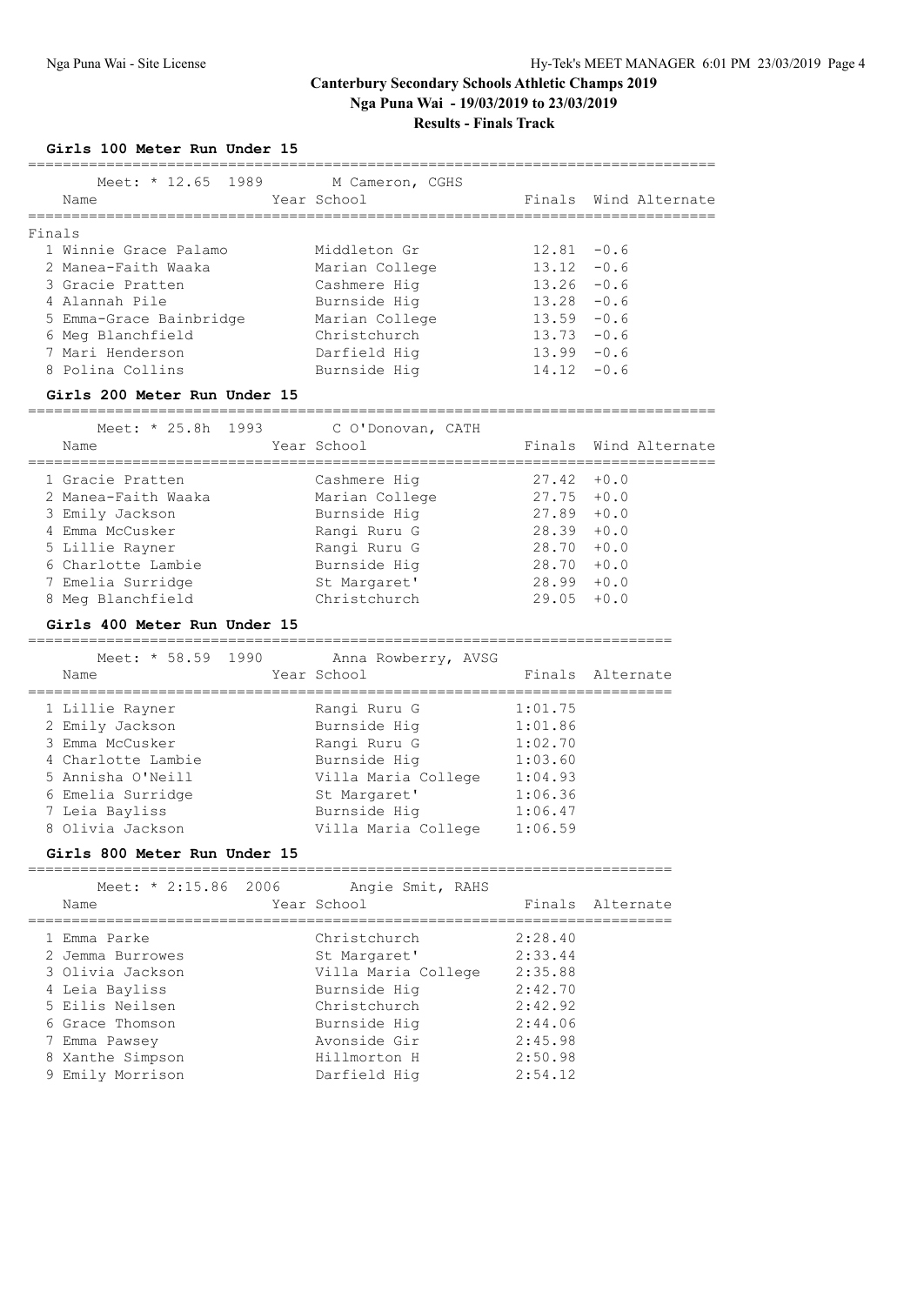# **Girls 100 Meter Run Under 15**

| -------------------------------------- |                                                     |               |                       |
|----------------------------------------|-----------------------------------------------------|---------------|-----------------------|
| Meet: * 12.65 1989<br>Name             | M Cameron, CGHS<br>Year School                      |               | Finals Wind Alternate |
| Finals                                 |                                                     |               |                       |
| 1 Winnie Grace Palamo                  | Middleton Gr                                        | $12.81 - 0.6$ |                       |
| 2 Manea-Faith Waaka                    | Marian College                                      | 13.12         | $-0.6$                |
| 3 Gracie Pratten                       | Cashmere Hig                                        | $13.26 - 0.6$ |                       |
| 4 Alannah Pile                         | Burnside Hiq                                        | 13.28         | $-0.6$                |
| 5 Emma-Grace Bainbridge                | Marian College                                      | $13.59 - 0.6$ |                       |
| 6 Meg Blanchfield                      | Christchurch                                        | $13.73 - 0.6$ |                       |
| 7 Mari Henderson                       | Darfield Hig                                        | $13.99 - 0.6$ |                       |
| 8 Polina Collins                       | Burnside Hig                                        | $14.12 - 0.6$ |                       |
| Girls 200 Meter Run Under 15           |                                                     |               |                       |
|                                        | Meet: * 25.8h 1993 C O'Donovan, CATH                |               |                       |
| Name                                   | Year School                                         |               | Finals Wind Alternate |
| 1 Gracie Pratten                       | Cashmere Hig                                        | $27.42 + 0.0$ |                       |
| 2 Manea-Faith Waaka                    | Marian College                                      | $27.75 + 0.0$ |                       |
| 3 Emily Jackson                        | Burnside Hig                                        | $27.89 + 0.0$ |                       |
| 4 Emma McCusker                        | Rangi Ruru G                                        | 28.39         | $+0.0$                |
| 5 Lillie Rayner                        | Rangi Ruru G                                        | $28.70 + 0.0$ |                       |
| 6 Charlotte Lambie                     | Burnside Hig                                        | $28.70 + 0.0$ |                       |
| 7 Emelia Surridge                      | St Margaret'                                        | $28.99 + 0.0$ |                       |
| 8 Meg Blanchfield                      | Christchurch                                        | $29.05 + 0.0$ |                       |
| Girls 400 Meter Run Under 15           |                                                     |               |                       |
| Meet: * 58.59 1990                     | Anna Rowberry, AVSG                                 |               |                       |
| Name                                   | Year School                                         |               | Finals Alternate      |
| 1 Lillie Rayner                        | Rangi Ruru G                                        | 1:01.75       |                       |
| 2 Emily Jackson                        | Burnside Hig                                        | 1:01.86       |                       |
| 3 Emma McCusker                        | Rangi Ruru G                                        | 1:02.70       |                       |
| 4 Charlotte Lambie                     | Burnside Hig                                        | 1:03.60       |                       |
| 5 Annisha O'Neill                      | Villa Maria College 1:04.93                         |               |                       |
| 6 Emelia Surridge                      | St Margaret' 1:06.36                                |               |                       |
| 7 Leia Bayliss                         |                                                     |               |                       |
| 8 Olivia Jackson                       | Burnside Hig 1:06.47<br>Villa Maria College 1:06.59 |               |                       |

#### **Girls 800 Meter Run Under 15**

| Meet: $*$ 2:15.86 2006<br>Name | Angie Smit, RAHS<br>Year School |         | Finals Alternate |
|--------------------------------|---------------------------------|---------|------------------|
| 1 Emma Parke                   | Christchurch                    | 2:28.40 |                  |
| 2 Jemma Burrowes               | St Margaret'                    | 2:33.44 |                  |
| 3 Olivia Jackson               | Villa Maria College             | 2:35.88 |                  |
| 4 Leia Bayliss                 | Burnside Hig                    | 2:42.70 |                  |
| 5 Eilis Neilsen                | Christchurch                    | 2:42.92 |                  |
| 6 Grace Thomson                | Burnside Hig                    | 2:44.06 |                  |
| 7 Emma Pawsey                  | Avonside Gir                    | 2:45.98 |                  |
| 8 Xanthe Simpson               | Hillmorton H                    | 2:50.98 |                  |
| 9 Emily Morrison               | Darfield Hig                    | 2:54.12 |                  |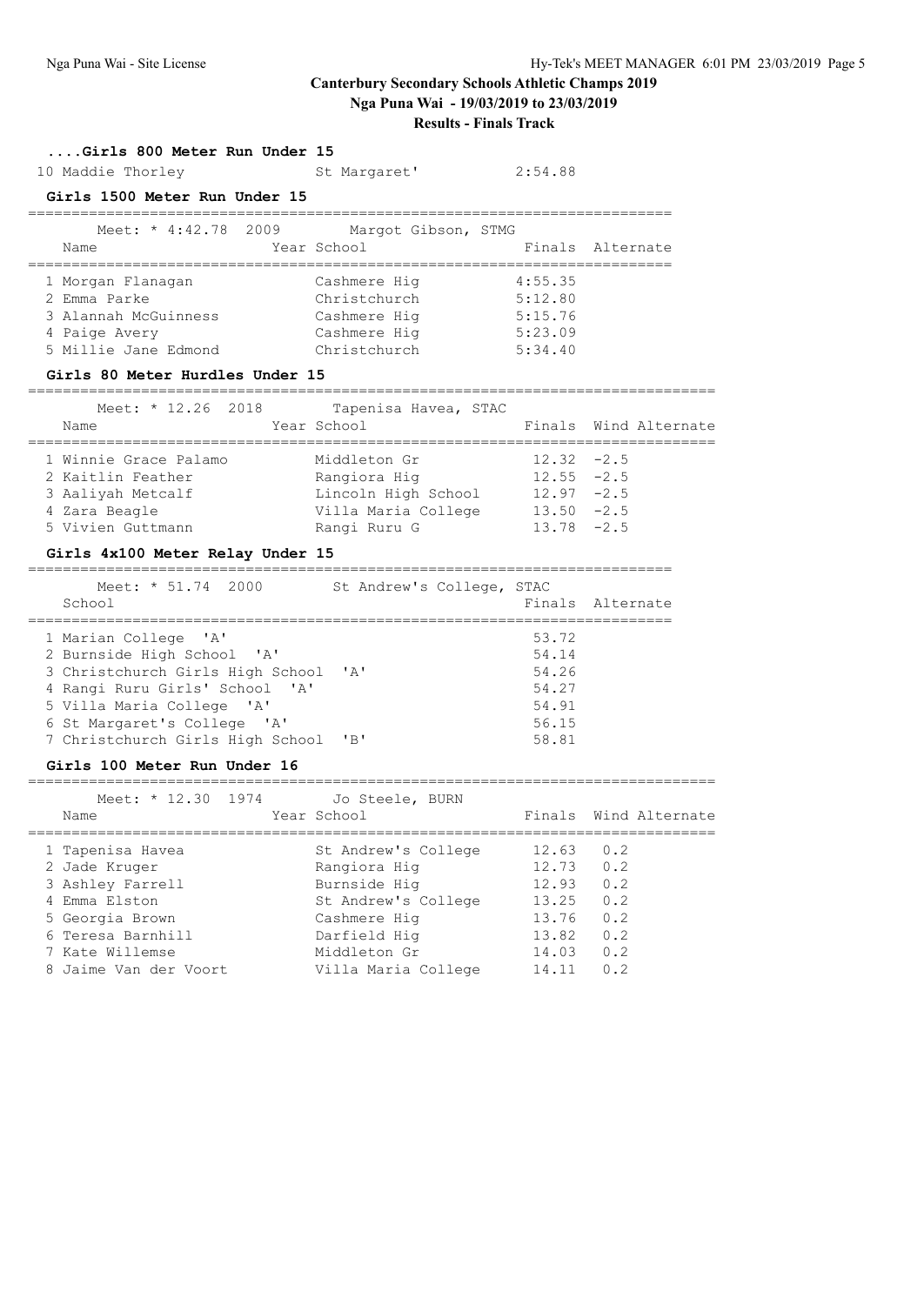# **Canterbury Secondary Schools Athletic Champs 2019 Nga Puna Wai - 19/03/2019 to 23/03/2019**

# **Results - Finals Track**

#### **....Girls 800 Meter Run Under 15**

10 Maddie Thorley St Margaret' 2:54.88 **Girls 1500 Meter Run Under 15**

| Meet: * 4:42.78 2009<br>Name | Margot Gibson, STMG<br>Year School | Finals Alternate |
|------------------------------|------------------------------------|------------------|
| 1 Morgan Flanagan            | Cashmere Hig                       | 4:55.35          |
| 2 Emma Parke                 | Christchurch                       | 5:12.80          |
| 3 Alannah McGuinness         | Cashmere Hig                       | 5:15.76          |
| 4 Paige Avery                | Cashmere Hig                       | 5:23.09          |
| 5 Millie Jane Edmond         | Christchurch                       | 5:34.40          |

#### **Girls 80 Meter Hurdles Under 15**

===============================================================================

Meet: \* 12.26 2018 Tapenisa Havea, STAC Name Year School Finals Wind Alternate =============================================================================== 1 Winnie Grace Palamo Middleton Gr 12.32 -2.5<br>2 Kaitlin Feather Rangiora Hig 12.55 -2.5 2 Kaitlin Feather Rangiora Hig 12.55 -2.5 3 Aaliyah Metcalf Lincoln High School 12.97 -2.5 4 Zara Beagle Villa Maria College 13.50 -2.5

#### **Girls 4x100 Meter Relay Under 15**

| Meet: * 51.74 2000<br>School         | St Andrew's College, STAC |       | Finals Alternate |
|--------------------------------------|---------------------------|-------|------------------|
| 1 Marian College 'A'                 |                           | 53.72 |                  |
| 2 Burnside High School 'A'           |                           | 54.14 |                  |
| 3 Christchurch Girls High School 'A' |                           | 54.26 |                  |
| 4 Rangi Ruru Girls' School 'A'       |                           | 54.27 |                  |
| 5 Villa Maria College 'A'            |                           | 54.91 |                  |
| 6 St Margaret's College 'A'          |                           | 56.15 |                  |
| 7 Christchurch Girls High School     | $'$ B                     | 58.81 |                  |

5 Vivien Guttmann Rangi Ruru G 13.78 -2.5

#### **Girls 100 Meter Run Under 16**

| Meet: * 12.30 1974    | Jo Steele, BURN     |       |                       |
|-----------------------|---------------------|-------|-----------------------|
| Name                  | Year School         |       | Finals Wind Alternate |
| 1 Tapenisa Havea      | St Andrew's College | 12.63 | 0.2                   |
| 2 Jade Kruger         | Rangiora Hig        | 12.73 | 0.2                   |
| 3 Ashley Farrell      | Burnside Hig        | 12.93 | 0.2                   |
| 4 Emma Elston         | St Andrew's College | 13.25 | 0.2                   |
| 5 Georgia Brown       | Cashmere Hig        | 13.76 | 0.2                   |
| 6 Teresa Barnhill     | Darfield Hig        | 13.82 | 0.2                   |
| 7 Kate Willemse       | Middleton Gr        | 14.03 | 0.2                   |
| 8 Jaime Van der Voort | Villa Maria College | 14.11 | 0.2                   |
|                       |                     |       |                       |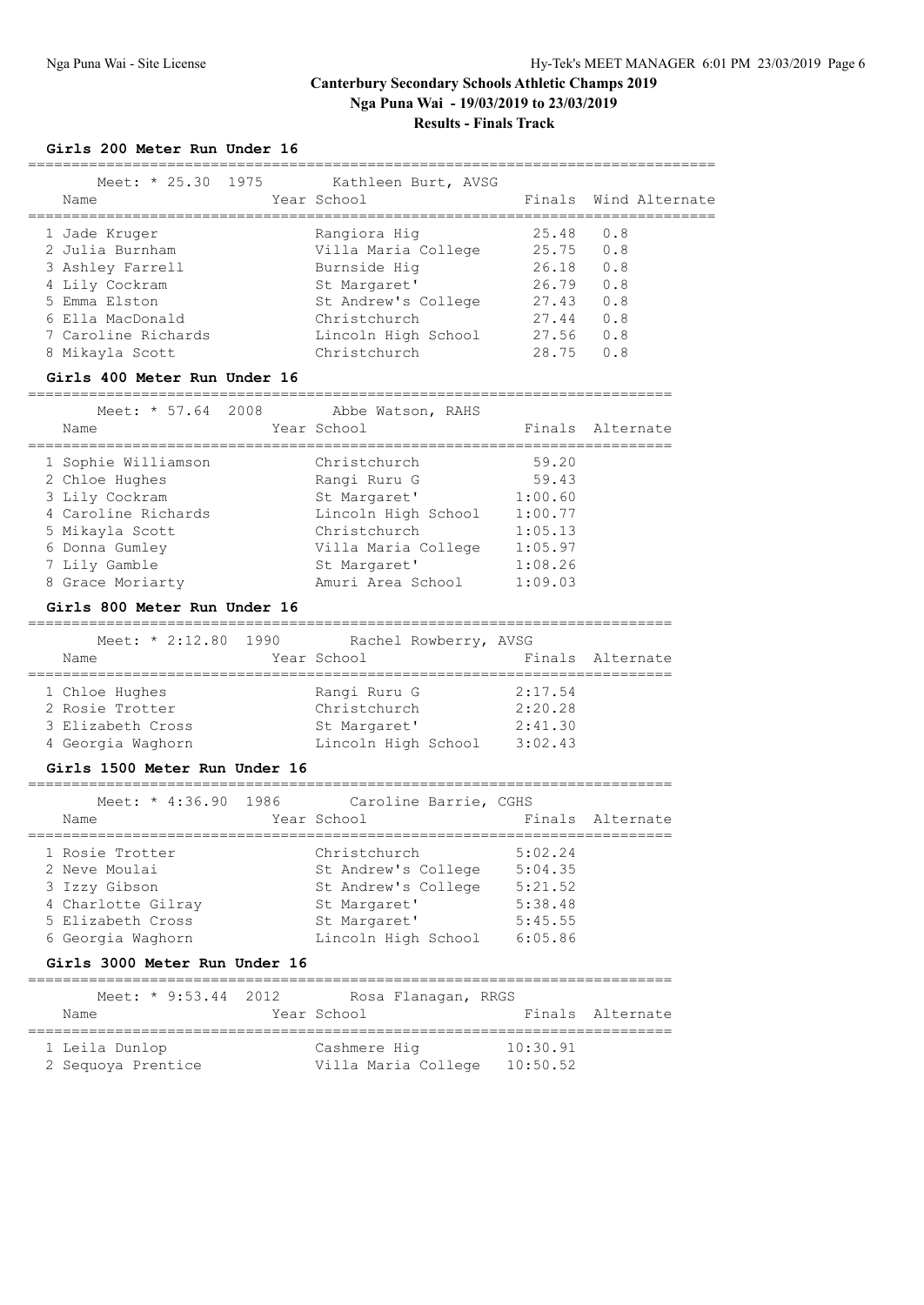#### **Girls 200 Meter Run Under 16**

| Meet: $* 25.30 1975$<br>Name | Kathleen Burt, AVSG<br>Year School |       |     | Finals Wind Alternate |
|------------------------------|------------------------------------|-------|-----|-----------------------|
| 1 Jade Kruger                | Rangiora Hig                       | 25.48 | 0.8 |                       |
| 2 Julia Burnham              | Villa Maria College                | 25.75 | 0.8 |                       |
| 3 Ashley Farrell             | Burnside Hig                       | 26.18 | 0.8 |                       |
| 4 Lily Cockram               | St Margaret'                       | 26.79 | 0.8 |                       |
| 5 Emma Elston                | St Andrew's College                | 27.43 | 0.8 |                       |
| 6 Ella MacDonald             | Christchurch                       | 27.44 | 0.8 |                       |
| 7 Caroline Richards          | Lincoln High School                | 27.56 | 0.8 |                       |
| 8 Mikayla Scott              | Christchurch                       | 28.75 | 0.8 |                       |

#### **Girls 400 Meter Run Under 16**

==========================================================================

| Meet: * 57.64 2008<br>Name | Abbe Watson, RAHS<br>Year School |         | Finals Alternate |
|----------------------------|----------------------------------|---------|------------------|
| 1 Sophie Williamson        | Christchurch                     | 59.20   |                  |
| 2 Chloe Hughes             | Rangi Ruru G                     | 59.43   |                  |
| 3 Lily Cockram             | St Margaret'                     | 1:00.60 |                  |
| 4 Caroline Richards        | Lincoln High School              | 1:00.77 |                  |
| 5 Mikayla Scott            | Christchurch                     | 1:05.13 |                  |
| 6 Donna Gumley             | Villa Maria College              | 1:05.97 |                  |
| 7 Lily Gamble              | St Margaret'                     | 1:08.26 |                  |
| 8 Grace Moriarty           | Amuri Area School                | 1:09.03 |                  |

#### **Girls 800 Meter Run Under 16**

| Meet: * 2:12.80 1990 | Rachel Rowberry, AVSG |         |                  |
|----------------------|-----------------------|---------|------------------|
| Name                 | Year School           |         | Finals Alternate |
|                      |                       |         |                  |
| 1 Chloe Hughes       | Rangi Ruru G          | 2:17.54 |                  |
| 2 Rosie Trotter      | Christchurch          | 2:20.28 |                  |
| 3 Elizabeth Cross    | St Margaret'          | 2:41.30 |                  |
| 4 Georgia Waghorn    | Lincoln High School   | 3:02.43 |                  |

#### **Girls 1500 Meter Run Under 16**

| Meet: * 4:36.90 1986<br>Caroline Barrie, CGHS<br>Year School<br>Finals Alternate<br>Name<br>1 Rosie Trotter<br>Christchurch<br>5:02.24<br>St Andrew's College<br>5:04.35<br>2 Neve Moulai<br>St Andrew's College<br>5:21.52<br>3 Izzy Gibson<br>4 Charlotte Gilray<br>5:38.48<br>St Margaret'<br>5 Elizabeth Cross<br>5:45.55<br>St Margaret' |                   |                     |         |  |
|-----------------------------------------------------------------------------------------------------------------------------------------------------------------------------------------------------------------------------------------------------------------------------------------------------------------------------------------------|-------------------|---------------------|---------|--|
|                                                                                                                                                                                                                                                                                                                                               |                   |                     |         |  |
|                                                                                                                                                                                                                                                                                                                                               | 6 Georgia Waghorn | Lincoln High School | 6:05.86 |  |

### **Girls 3000 Meter Run Under 16**

| Meet: $*$ 9:53.44 2012<br>Name | Rosa Flanagan, RRGS<br>Year School |          | Finals Alternate |
|--------------------------------|------------------------------------|----------|------------------|
| 1 Leila Dunlop                 | Cashmere Hig                       | 10:30.91 |                  |
| 2 Sequoya Prentice             | Villa Maria College                | 10:50.52 |                  |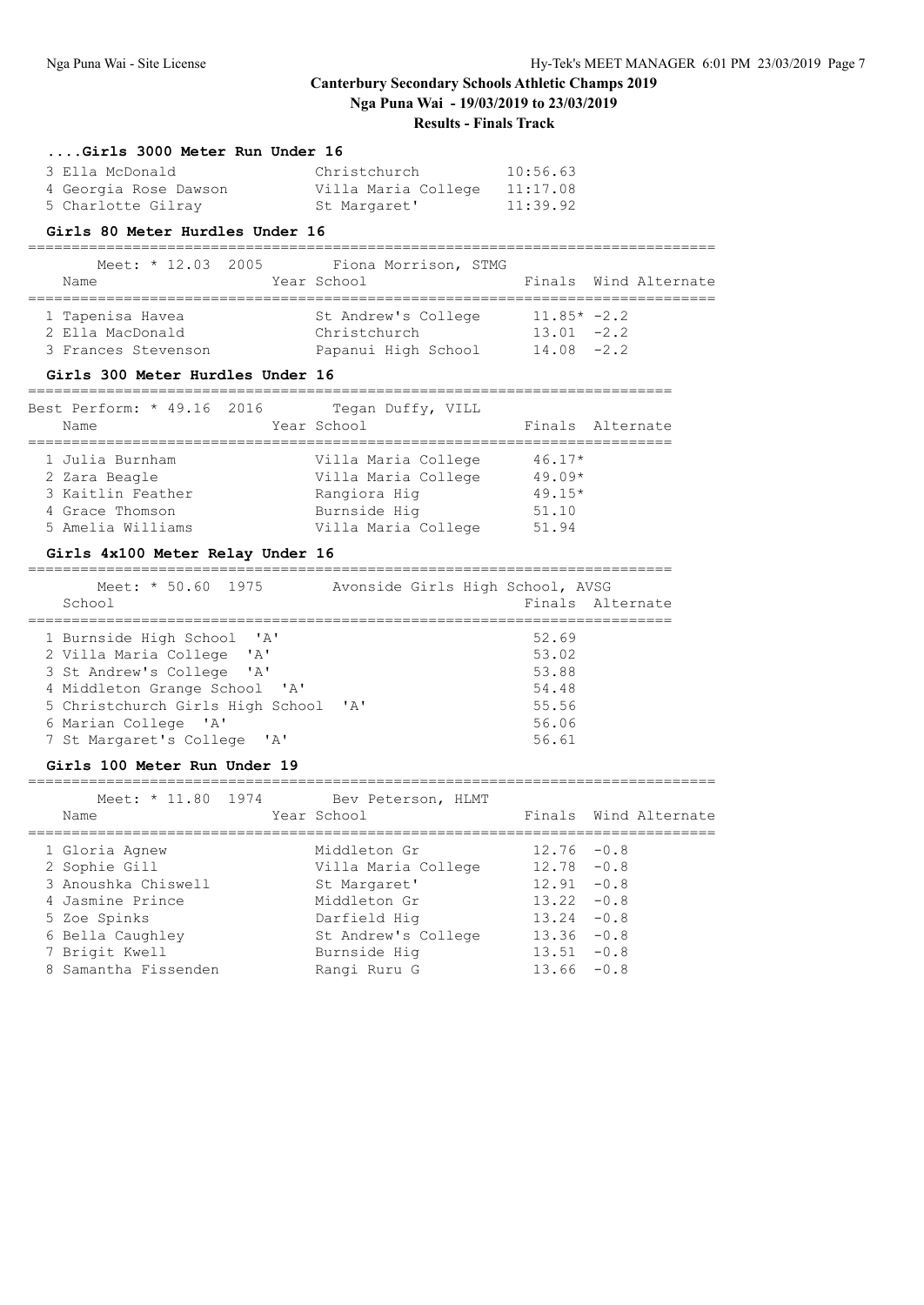# **Canterbury Secondary Schools Athletic Champs 2019 Nga Puna Wai - 19/03/2019 to 23/03/2019**

# **Results - Finals Track**

#### **....Girls 3000 Meter Run Under 16**

| 3 Ella McDonald       | Christchurch        | 10:56.63 |
|-----------------------|---------------------|----------|
| 4 Georgia Rose Dawson | Villa Maria College | 11:17.08 |
| 5 Charlotte Gilray    | St Margaret'        | 11:39.92 |

#### **Girls 80 Meter Hurdles Under 16**

| Meet: $* 12.03 2005$ | Fiona Morrison, STMG |                       |
|----------------------|----------------------|-----------------------|
| Name                 | Year School          | Finals Wind Alternate |
|                      |                      |                       |
| 1 Tapenisa Havea     | St Andrew's College  | $11.85* -2.2$         |
| 2 Ella MacDonald     | Christchurch         | $13.01 - 2.2$         |
| 3 Frances Stevenson  | Papanui High School  | $14.08 - 2.2$         |

#### **Girls 300 Meter Hurdles Under 16**

========================================================================== Best Perform: \* 49.16 2016 Tegan Duffy, VILL Name **The Year School** Finals Alternate ========================================================================== 1 Julia Burnham Villa Maria College 46.17\* 2 Zara Beagle Villa Maria College 49.09\* 3 Kaitlin Feather Rangiora Hig 49.15\* 4 Grace Thomson Burnside Hig 51.10 5 Amelia Williams Villa Maria College 51.94

#### **Girls 4x100 Meter Relay Under 16**

| Meet: * 50.60 1975<br>School     |              | Avonside Girls High School, AVSG | Finals Alternate |
|----------------------------------|--------------|----------------------------------|------------------|
|                                  |              |                                  |                  |
| 1 Burnside High School 'A'       |              | 52.69                            |                  |
| 2 Villa Maria College 'A'        |              | 53.02                            |                  |
| 3 St Andrew's College 'A'        |              | 53.88                            |                  |
| 4 Middleton Grange School 'A'    |              | 54.48                            |                  |
| 5 Christchurch Girls High School | $\mathsf{A}$ | 55.56                            |                  |
| 6 Marian College 'A'             |              | 56.06                            |                  |
| 7 St Margaret's College 'A'      |              | 56.61                            |                  |

#### **Girls 100 Meter Run Under 19**

| Meet: * 11.80 1974   | Bev Peterson, HLMT  |               |                       |
|----------------------|---------------------|---------------|-----------------------|
| Name                 | Year School         |               | Finals Wind Alternate |
| 1 Gloria Agnew       | Middleton Gr        | $12.76 - 0.8$ |                       |
| 2 Sophie Gill        | Villa Maria College | $12.78 - 0.8$ |                       |
| 3 Anoushka Chiswell  | St Margaret'        | $12.91 - 0.8$ |                       |
| 4 Jasmine Prince     | Middleton Gr        | $13.22 - 0.8$ |                       |
| 5 Zoe Spinks         | Darfield Hig        | $13.24 - 0.8$ |                       |
| 6 Bella Caughley     | St Andrew's College | $13.36 - 0.8$ |                       |
| 7 Brigit Kwell       | Burnside Hig        | $13.51 - 0.8$ |                       |
| 8 Samantha Fissenden | Rangi Ruru G        | $13.66 - 0.8$ |                       |
|                      |                     |               |                       |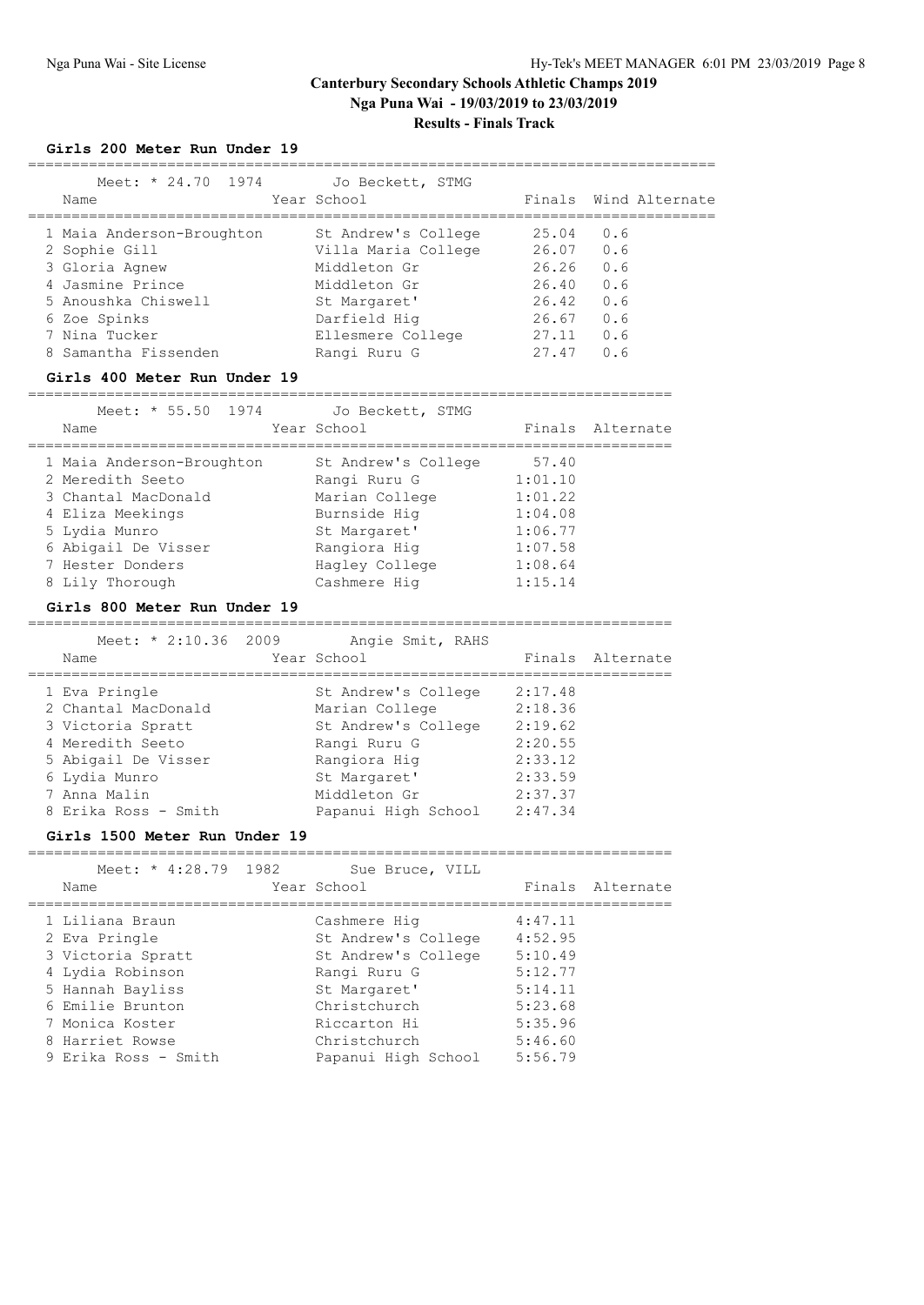## **Girls 200 Meter Run Under 19**

| Name                | Meet: * 24.70 1974        | Jo Beckett, STMG<br>Year School |       |     | Finals Wind Alternate |
|---------------------|---------------------------|---------------------------------|-------|-----|-----------------------|
|                     | 1 Maia Anderson-Broughton | St Andrew's College             | 25.04 | 0.6 |                       |
| 2 Sophie Gill       |                           | Villa Maria College             | 26.07 | 0.6 |                       |
| 3 Gloria Agnew      |                           | Middleton Gr                    | 26.26 | 0.6 |                       |
| 4 Jasmine Prince    |                           | Middleton Gr                    | 26.40 | 0.6 |                       |
| 5 Anoushka Chiswell |                           | St Margaret'                    | 26.42 | 0.6 |                       |
| 6 Zoe Spinks        |                           | Darfield Hig                    | 26.67 | 0.6 |                       |
| 7 Nina Tucker       |                           | Ellesmere College               | 27.11 | 0.6 |                       |
|                     | 8 Samantha Fissenden      | Rangi Ruru G                    | 27.47 | 0.6 |                       |

#### **Girls 400 Meter Run Under 19**

==========================================================================

| Meet: * 55.50 1974<br>Name | Jo Beckett, STMG<br>Year School |         | Finals Alternate |
|----------------------------|---------------------------------|---------|------------------|
| 1 Maia Anderson-Broughton  | St Andrew's College             | 57.40   |                  |
| 2 Meredith Seeto           | Rangi Ruru G                    | 1:01.10 |                  |
| 3 Chantal MacDonald        | Marian College                  | 1:01.22 |                  |
| 4 Eliza Meekings           | Burnside Hig                    | 1:04.08 |                  |
| 5 Lydia Munro              | St Margaret'                    | 1:06.77 |                  |
| 6 Abigail De Visser        | Rangiora Hig                    | 1:07.58 |                  |
| 7 Hester Donders           | Hagley College                  | 1:08.64 |                  |
| 8 Lily Thorough            | Cashmere Hig                    | 1:15.14 |                  |
|                            |                                 |         |                  |

#### **Girls 800 Meter Run Under 19**

========================================================================== Meet: \* 2:10.36 2009 Angie Smit, RAHS

| Name                 | Year School         |         | Finals Alternate |
|----------------------|---------------------|---------|------------------|
| 1 Eva Pringle        | St Andrew's College | 2:17.48 |                  |
| 2 Chantal MacDonald  | Marian College      | 2:18.36 |                  |
| 3 Victoria Spratt    | St Andrew's College | 2:19.62 |                  |
| 4 Meredith Seeto     | Rangi Ruru G        | 2:20.55 |                  |
| 5 Abigail De Visser  | Rangiora Hig        | 2:33.12 |                  |
| 6 Lydia Munro        | St Margaret'        | 2:33.59 |                  |
| 7 Anna Malin         | Middleton Gr        | 2:37.37 |                  |
| 8 Erika Ross - Smith | Papanui High School | 2:47.34 |                  |

#### **Girls 1500 Meter Run Under 19**

| Meet: * 4:28.79 1982<br>Name | Sue Bruce, VILL<br>Year School | Finals Alternate |
|------------------------------|--------------------------------|------------------|
| 1 Liliana Braun              | Cashmere Hig                   | 4:47.11          |
| 2 Eva Pringle                | St Andrew's College            | 4:52.95          |
| 3 Victoria Spratt            | St Andrew's College            | 5:10.49          |
| 4 Lydia Robinson             | Rangi Ruru G                   | 5:12.77          |
| 5 Hannah Bayliss             | St Margaret'                   | 5:14.11          |
| 6 Emilie Brunton             | Christchurch                   | 5:23.68          |
| 7 Monica Koster              | Riccarton Hi                   | 5:35.96          |
| 8 Harriet Rowse              | Christchurch                   | 5:46.60          |
| 9 Erika Ross - Smith         | Papanui High School            | 5:56.79          |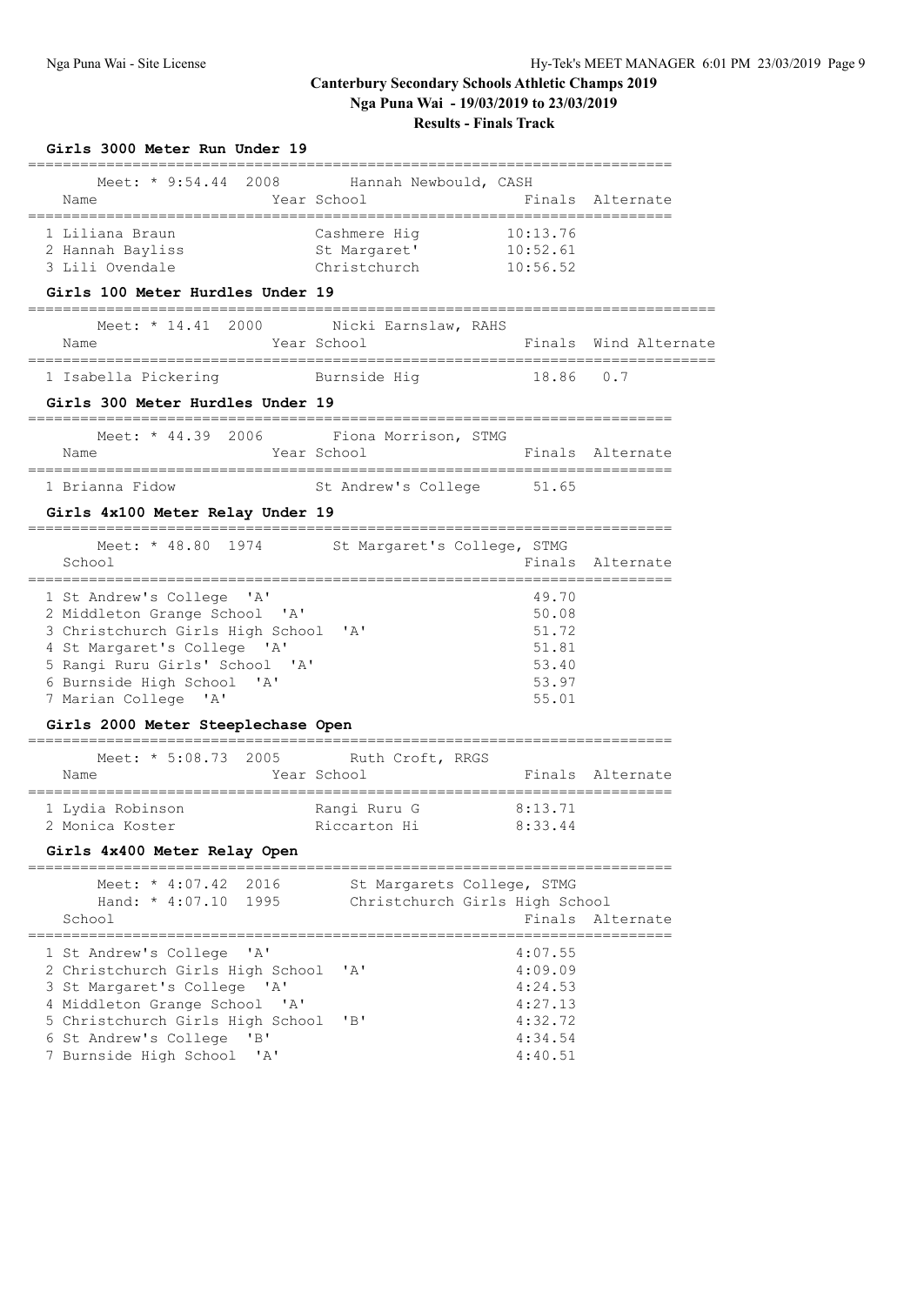# **Girls 3000 Meter Run Under 19** ========================================================================== Meet: \* 9:54.44 2008 Hannah Newbould, CASH Name The Year School Team Prinals Alternate ========================================================================== 1 Liliana Braun Cashmere Hig 10:13.76 2 Hannah Bayliss St Margaret' 10:52.61 3 Lili Ovendale Christchurch 10:56.52 **Girls 100 Meter Hurdles Under 19** =============================================================================== Meet: \* 14.41 2000 Nicki Earnslaw, RAHS Name The Year School The Finals Wind Alternate =============================================================================== 1 Isabella Pickering Burnside Hig 18.86 0.7 **Girls 300 Meter Hurdles Under 19** ========================================================================== Meet: \* 44.39 2006 Fiona Morrison, STMG Name The Year School Team and The Principles Alternate ========================================================================== 1 Brianna Fidow St Andrew's College 51.65 **Girls 4x100 Meter Relay Under 19** ========================================================================== Meet: \* 48.80 1974 St Margaret's College, STMG School **Finals** Alternate School **Finals** Alternate ========================================================================== 1 St Andrew's College 'A' 49.70 2 Middleton Grange School 'A' 50.08 3 Christchurch Girls High School 'A' 51.72 4 St Margaret's College 'A' 51.81 5 Rangi Ruru Girls' School 'A' 53.40 6 Burnside High School 'A' 53.97 7 Marian College 'A' 55.01 **Girls 2000 Meter Steeplechase Open** ========================================================================== Meet: \* 5:08.73 2005 Ruth Croft, RRGS Name Year School Finals Alternate ========================================================================== 1 Lydia Robinson Rangi Ruru G 8:13.71 2 Monica Koster Riccarton Hi 8:33.44 **Girls 4x400 Meter Relay Open** ========================================================================== Meet: \* 4:07.42 2016 St Margarets College, STMG Hand: \* 4:07.10 1995 Christchurch Girls High School School Finals Alternate ========================================================================== 1 St Andrew's College 'A' 4:07.55 2 Christchurch Girls High School 'A' 4:09.09 3 St Margaret's College 'A' 4:24.53 4 Middleton Grange School 'A' 4:27.13 5 Christchurch Girls High School 'B' 4:32.72 6 St Andrew's College 'B' 4:34.54

7 Burnside High School 'A' 4:40.51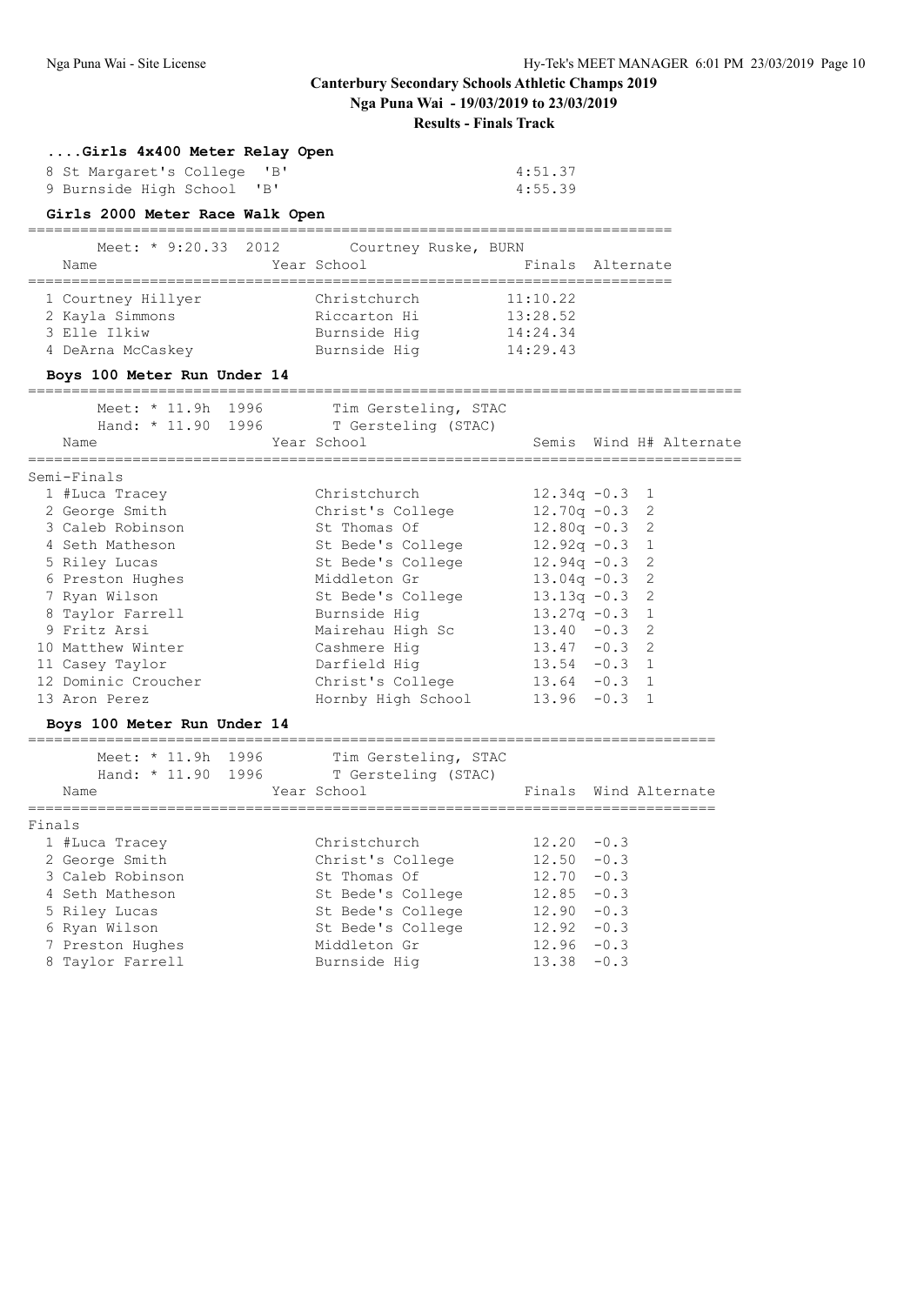# **Canterbury Secondary Schools Athletic Champs 2019 Nga Puna Wai - 19/03/2019 to 23/03/2019**

**Results - Finals Track**

| Girls 4x400 Meter Relay Open |         |
|------------------------------|---------|
| 8 St Margaret's College 'B'  | 4:51.37 |
| 9 Burnside High School 'B'   | 4:55.39 |

# **Girls 2000 Meter Race Walk Open**

| Meet: * 9:20.33 2012 | Courtney Ruske, BURN |          |                  |
|----------------------|----------------------|----------|------------------|
| Name                 | Year School          |          | Finals Alternate |
|                      |                      |          |                  |
| 1 Courtney Hillyer   | Christchurch         | 11:10.22 |                  |
| 2 Kayla Simmons      | Riccarton Hi         | 13:28.52 |                  |
| 3 Elle Ilkiw         | Burnside Hig         | 14:24.34 |                  |
| 4 DeArna McCaskey    | Burnside Hig         | 14:29.43 |                  |

# **Boys 100 Meter Run Under 14**

==================================================================================

| Meet: * 11.9h 1996<br>Hand: * 11.90 1996<br>Name | Tim Gersteling, STAC<br>T Gersteling (STAC)<br>Year School |                  |  | Semis Wind H# Alternate |
|--------------------------------------------------|------------------------------------------------------------|------------------|--|-------------------------|
|                                                  |                                                            |                  |  |                         |
| Semi-Finals                                      |                                                            |                  |  |                         |
| 1 #Luca Tracey                                   | Christchurch                                               | $12.34q -0.3$ 1  |  |                         |
| 2 George Smith                                   | Christ's College                                           | $12.70q - 0.3$ 2 |  |                         |
| 3 Caleb Robinson                                 | St Thomas Of                                               | $12.80q - 0.3$ 2 |  |                         |
| 4 Seth Matheson                                  | St Bede's College                                          | $12.92q - 0.3$ 1 |  |                         |
| 5 Riley Lucas                                    | St Bede's College                                          | $12.94q - 0.3$ 2 |  |                         |
| 6 Preston Hughes                                 | Middleton Gr                                               | $13.04q - 0.3$ 2 |  |                         |
| 7 Ryan Wilson                                    | St Bede's College                                          | $13.13q - 0.3$ 2 |  |                         |
| 8 Taylor Farrell                                 | Burnside Hig                                               | $13.27q -0.3$ 1  |  |                         |
| 9 Fritz Arsi                                     | Mairehau High Sc                                           | $13.40 -0.3$ 2   |  |                         |
| 10 Matthew Winter                                | Cashmere Hig                                               | $13.47 - 0.3$ 2  |  |                         |
| 11 Casey Taylor                                  | Darfield Hiq                                               | $13.54 -0.3$ 1   |  |                         |
| 12 Dominic Croucher                              | Christ's College                                           | $13.64$ -0.3 1   |  |                         |
| 13 Aron Perez                                    | Hornby High School                                         | $13.96 -0.3$ 1   |  |                         |
|                                                  |                                                            |                  |  |                         |

#### **Boys 100 Meter Run Under 14**

| Meet: * 11.9h 1996<br>Hand: * 11.90 1996<br>Name | Tim Gersteling, STAC<br>T Gersteling (STAC)<br>Year School |               | Finals Wind Alternate |
|--------------------------------------------------|------------------------------------------------------------|---------------|-----------------------|
| Finals                                           |                                                            |               |                       |
| 1 #Luca Tracev                                   | Christchurch                                               | $12.20 - 0.3$ |                       |
| 2 George Smith                                   | Christ's College                                           | $12.50 - 0.3$ |                       |
| 3 Caleb Robinson                                 | St Thomas Of                                               | $12.70 - 0.3$ |                       |
| 4 Seth Matheson                                  | St Bede's College                                          | $12.85 - 0.3$ |                       |
| 5 Riley Lucas                                    | St Bede's College                                          | $12.90 - 0.3$ |                       |
| 6 Ryan Wilson                                    | St Bede's College                                          | $12.92 - 0.3$ |                       |
| 7 Preston Hughes                                 | Middleton Gr                                               | $12.96 - 0.3$ |                       |
| 8 Taylor Farrell                                 | Burnside Hig                                               | $13.38 - 0.3$ |                       |
|                                                  |                                                            |               |                       |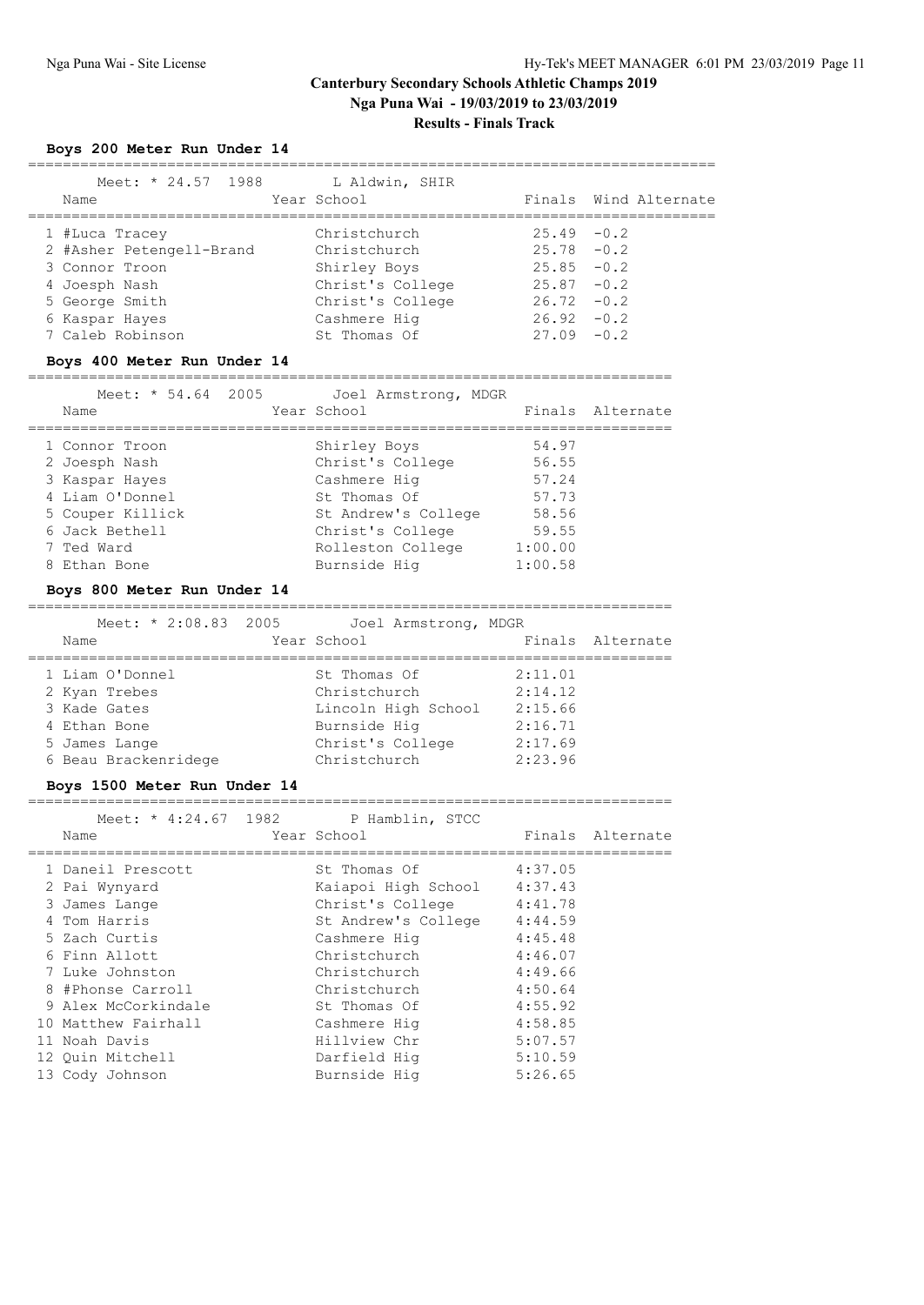#### **Boys 200 Meter Run Under 14**

| Meet: * 24.57 1988<br>Name | L Aldwin, SHIR                                                                                                                        |               | Finals Wind Alternate |
|----------------------------|---------------------------------------------------------------------------------------------------------------------------------------|---------------|-----------------------|
|                            | Christchurch                                                                                                                          | $25.49 - 0.2$ |                       |
|                            | Christchurch                                                                                                                          | $25.78 - 0.2$ |                       |
|                            | Shirley Boys                                                                                                                          | $25.85 - 0.2$ |                       |
|                            | Christ's College                                                                                                                      | $25.87 - 0.2$ |                       |
|                            | Christ's College                                                                                                                      | $26.72 - 0.2$ |                       |
|                            | Cashmere Hig                                                                                                                          | $26.92 - 0.2$ |                       |
|                            | St. Thomas Of                                                                                                                         | $27.09 - 0.2$ |                       |
|                            | 1 #Luca Tracey<br>2 #Asher Petengell-Brand<br>3 Connor Troon<br>4 Joesph Nash<br>5 George Smith<br>6 Kaspar Hayes<br>7 Caleb Robinson | Year School   |                       |

#### **Boys 400 Meter Run Under 14**

==========================================================================

| Meet: * 54.64 2005 | Joel Armstrong, MDGR |         |                  |
|--------------------|----------------------|---------|------------------|
| Name               | Year School          |         | Finals Alternate |
| 1 Connor Troon     | Shirley Boys         | 54.97   |                  |
| 2 Joesph Nash      | Christ's College     | 56.55   |                  |
| 3 Kaspar Hayes     | Cashmere Hig         | 57.24   |                  |
| 4 Liam O'Donnel    | St. Thomas Of        | 57.73   |                  |
| 5 Couper Killick   | St Andrew's College  | 58.56   |                  |
| 6 Jack Bethell     | Christ's College     | 59.55   |                  |
| 7 Ted Ward         | Rolleston College    | 1:00.00 |                  |
| 8 Ethan Bone       | Burnside Hig         | 1:00.58 |                  |
|                    |                      |         |                  |

#### **Boys 800 Meter Run Under 14**

==========================================================================  $*$  2:08.83 2005 Joel

| Meet: * 2:08.83 2005<br>Name                                     | JOEL Armstrong, MDGR<br>Year School                                 |                                          | Finals Alternate |
|------------------------------------------------------------------|---------------------------------------------------------------------|------------------------------------------|------------------|
| 1 Liam O'Donnel<br>2 Kyan Trebes<br>3 Kade Gates<br>4 Ethan Bone | St Thomas Of<br>Christchurch<br>Lincoln High School<br>Burnside Hig | 2:11.01<br>2:14.12<br>2:15.66<br>2:16.71 |                  |
| 5 James Lange<br>6 Beau Brackenridege                            | Christ's College<br>Christchurch                                    | 2:17.69<br>2:23.96                       |                  |

==========================================================================

#### **Boys 1500 Meter Run Under 14**

| Name                | Meet: * 4:24.67 1982 P Hamblin, STCC<br>Year School |         | Finals Alternate |
|---------------------|-----------------------------------------------------|---------|------------------|
| 1 Daneil Prescott   | St Thomas Of                                        | 4:37.05 |                  |
| 2 Pai Wynyard       | Kaiapoi High School                                 | 4:37.43 |                  |
| 3 James Lange       | Christ's College 4:41.78                            |         |                  |
| 4 Tom Harris        | St Andrew's College                                 | 4:44.59 |                  |
| 5 Zach Curtis       | Cashmere Hig                                        | 4:45.48 |                  |
| 6 Finn Allott       | Christchurch                                        | 4:46.07 |                  |
| 7 Luke Johnston     | Christchurch                                        | 4:49.66 |                  |
| 8 #Phonse Carroll   | Christchurch                                        | 4:50.64 |                  |
| 9 Alex McCorkindale | St Thomas Of                                        | 4:55.92 |                  |
| 10 Matthew Fairhall | Cashmere Hig                                        | 4:58.85 |                  |
| 11 Noah Davis       | Hillview Chr                                        | 5:07.57 |                  |
| 12 Ouin Mitchell    | Darfield Hig                                        | 5:10.59 |                  |
| 13 Cody Johnson     | Burnside Hig                                        | 5:26.65 |                  |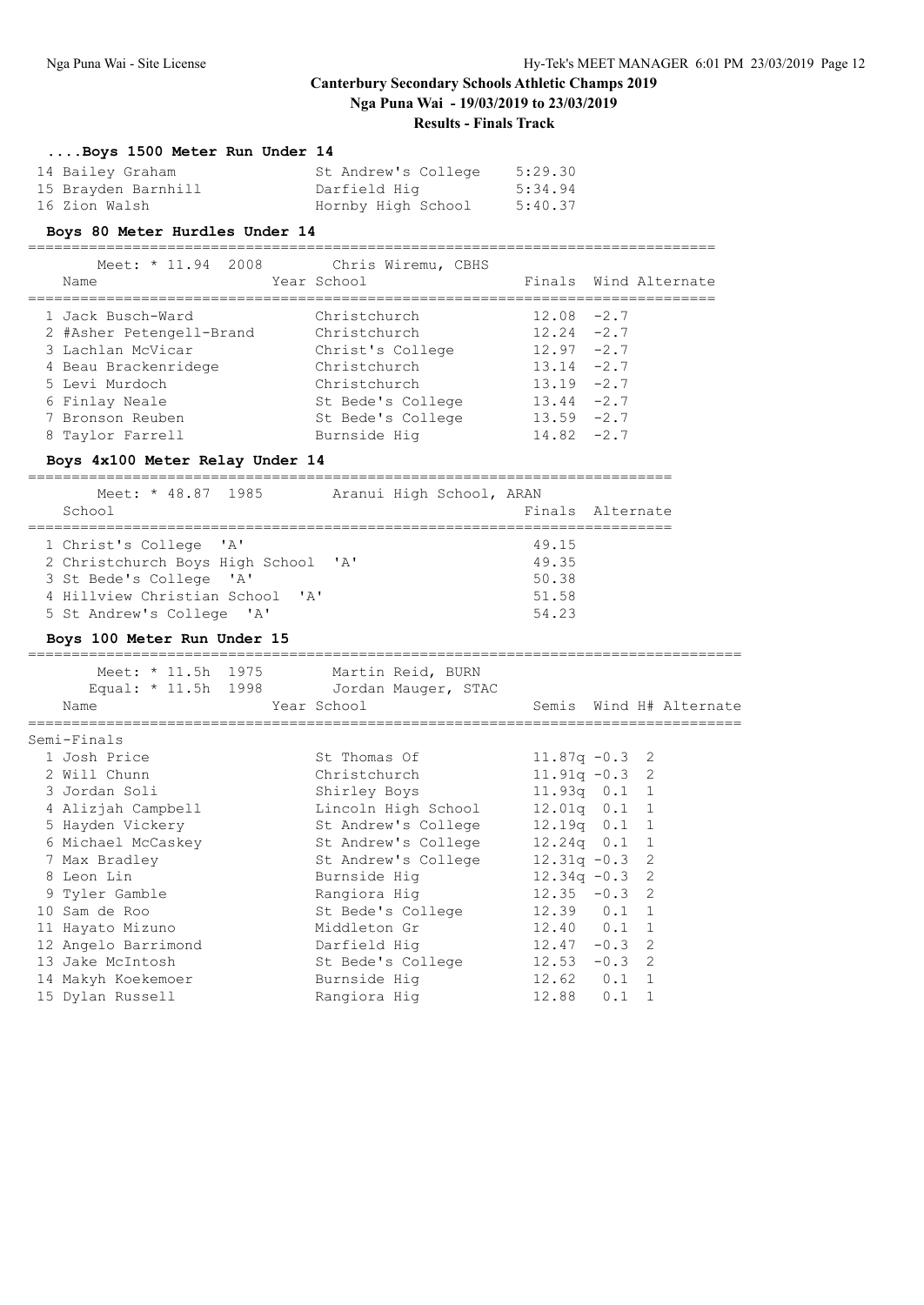#### **....Boys 1500 Meter Run Under 14**

| 14 Bailey Graham    | St Andrew's College | 5:29.30 |
|---------------------|---------------------|---------|
| 15 Brayden Barnhill | Darfield Hig        | 5:34.94 |
| 16 Zion Walsh       | Hornby High School  | 5:40.37 |

# **Boys 80 Meter Hurdles Under 14**

| Meet: * 11.94 2008       | Chris Wiremu, CBHS |               |                       |
|--------------------------|--------------------|---------------|-----------------------|
| Name                     | Year School        |               | Finals Wind Alternate |
|                          |                    |               |                       |
| 1 Jack Busch-Ward        | Christchurch       | $12.08 - 2.7$ |                       |
| 2 #Asher Petengell-Brand | Christchurch       | $12.24 -2.7$  |                       |
| 3 Lachlan McVicar        | Christ's College   | $12.97 -2.7$  |                       |
| 4 Beau Brackenridege     | Christchurch       | $13.14 -2.7$  |                       |
| 5 Levi Murdoch           | Christchurch       | $13.19 -2.7$  |                       |
| 6 Finlay Neale           | St Bede's College  | $13.44 -2.7$  |                       |
| 7 Bronson Reuben         | St Bede's College  | $13.59 - 2.7$ |                       |
| 8 Taylor Farrell         | Burnside Hig       | $14.82 - 2.7$ |                       |

#### **Boys 4x100 Meter Relay Under 14**

==========================================================================

| Meet: * 48.87 1985<br>School        |  | Aranui High School, ARAN |       | Finals Alternate |
|-------------------------------------|--|--------------------------|-------|------------------|
|                                     |  |                          |       |                  |
| 1 Christ's College 'A'              |  |                          | 49.15 |                  |
| 2 Christchurch Boys High School 'A' |  |                          | 49.35 |                  |
| 3 St Bede's College 'A'             |  |                          | 50.38 |                  |
| 4 Hillview Christian School 'A'     |  |                          | 51.58 |                  |
| 5 St Andrew's College 'A'           |  |                          | 54.23 |                  |

#### **Boys 100 Meter Run Under 15**

| Meet: * 11.5h 1975<br>Equal: $*$ 11.5h 1998<br>Name |  | Martin Reid, BURN<br>Jordan Mauger, STAC<br>Year School |                  |  | Semis Wind H# Alternate |
|-----------------------------------------------------|--|---------------------------------------------------------|------------------|--|-------------------------|
| Semi-Finals                                         |  |                                                         |                  |  |                         |
| 1 Josh Price                                        |  | St Thomas Of $11.87q -0.3$ 2                            |                  |  |                         |
| 2 Will Chunn                                        |  | Christchurch                                            | $11.91q - 0.3$ 2 |  |                         |
| 3 Jordan Soli                                       |  | Shirley Boys 11.93q 0.1 1                               |                  |  |                         |
| 4 Alizjah Campbell                                  |  | Lincoln High School 12.01q 0.1 1                        |                  |  |                         |
| 5 Hayden Vickery                                    |  | St Andrew's College 12.19q 0.1 1                        |                  |  |                         |
| 6 Michael McCaskey                                  |  | St Andrew's College 12.24q 0.1 1                        |                  |  |                         |
| 7 Max Bradley                                       |  | St Andrew's College 12.31q -0.3 2                       |                  |  |                         |
| 8 Leon Lin                                          |  | Burnside Hig 12.34g -0.3 2                              |                  |  |                         |
| 9 Tyler Gamble                                      |  | Rangiora Hig 12.35 -0.3 2                               |                  |  |                         |
| 10 Sam de Roo                                       |  | St Bede's College 12.39 0.1 1                           |                  |  |                         |
| 11 Hayato Mizuno                                    |  |                                                         |                  |  |                         |
| 12 Angelo Barrimond                                 |  |                                                         |                  |  |                         |
| 13 Jake McIntosh                                    |  | St Bede's College 12.53 -0.3 2                          |                  |  |                         |
| 14 Makyh Koekemoer                                  |  |                                                         |                  |  |                         |
| 15 Dylan Russell                                    |  | Rangiora Hig 12.88 0.1                                  |                  |  |                         |
|                                                     |  |                                                         |                  |  |                         |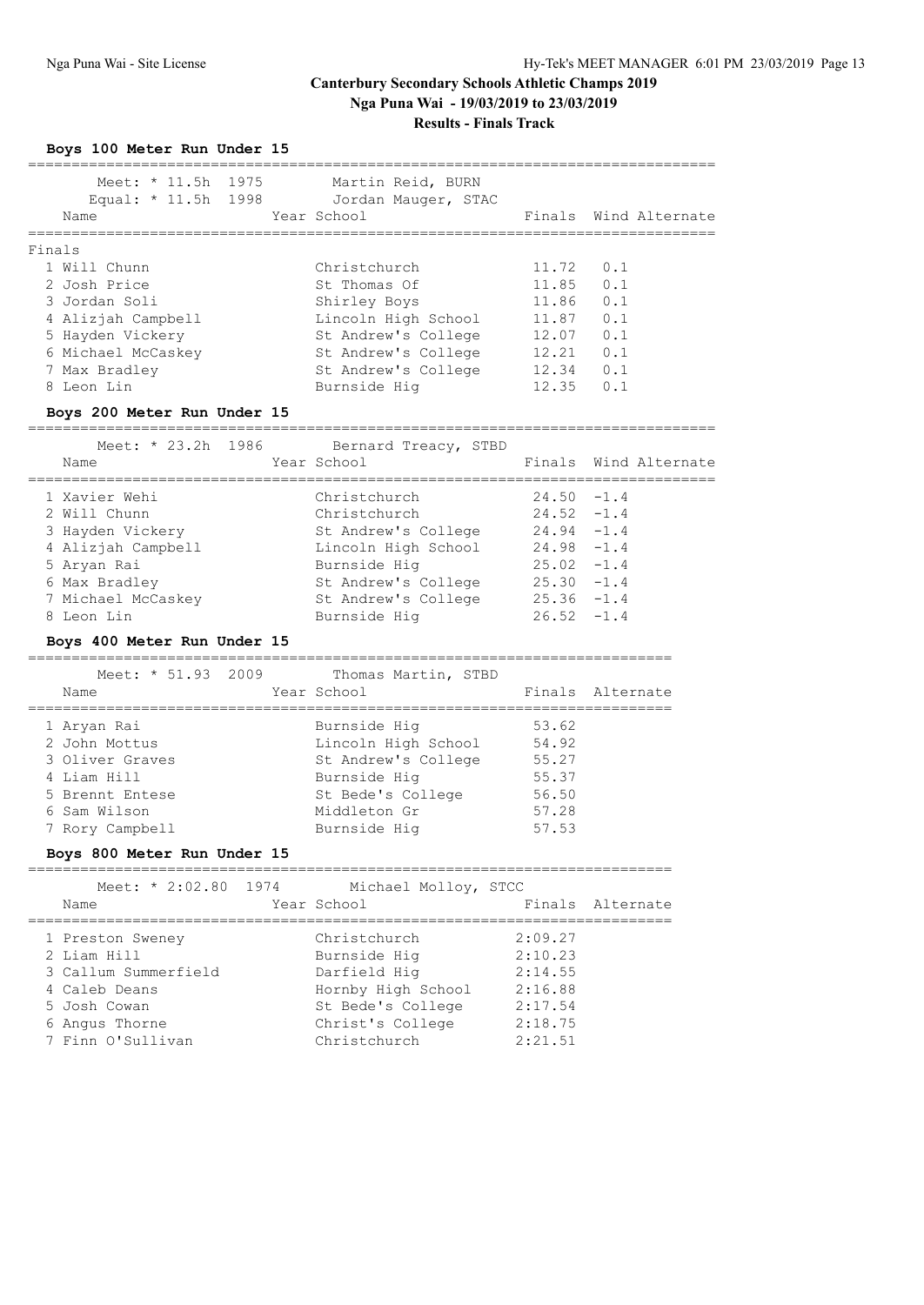**Boys 100 Meter Run Under 15**

| Meet: * 11.5h 1975<br>Equal: * 11.5h 1998 Jordan Mauger, STAC   | Martin Reid, BURN              |                |                                |
|-----------------------------------------------------------------|--------------------------------|----------------|--------------------------------|
| Name                                                            | Year School                    |                | Finals Wind Alternate          |
| :===========                                                    |                                |                | ------------------------------ |
| Finals                                                          |                                |                |                                |
| 1 Will Chunn                                                    | Christchurch                   | 11.72          | 0.1                            |
| 2 Josh Price                                                    | St Thomas Of                   | 11.85          | 0.1                            |
| 3 Jordan Soli                                                   | Shirley Boys                   | 11.86 0.1      |                                |
| 4 Alizjah Campbell                                              | Lincoln High School 11.87 0.1  |                |                                |
| 5 Hayden Vickery                                                | St Andrew's College 12.07 0.1  |                |                                |
| 6 Michael McCaskey                                              | St Andrew's College 12.21 0.1  |                |                                |
| 7 Max Bradley                                                   | St Andrew's College            | $12.34$ 0.1    |                                |
| 8 Leon Lin                                                      | Burnside Hig                   | $12.35$ 0.1    |                                |
| Boys 200 Meter Run Under 15                                     |                                |                |                                |
| Meet: * 23.2h 1986                                              | Bernard Treacy, STBD           |                |                                |
| Name                                                            | Year School                    |                | Finals Wind Alternate          |
| 1 Xavier Wehi                                                   | Christchurch                   | $24.50 - 1.4$  |                                |
| 2 Will Chunn                                                    | Christchurch                   | $24.52 - 1.4$  |                                |
| 3 Hayden Vickery                                                | St Andrew's College 24.94 -1.4 |                |                                |
| 4 Alizjah Campbell                                              | Lincoln High School 24.98 -1.4 |                |                                |
| 5 Aryan Rai                                                     | Burnside Hig                   | $25.02 -1.4$   |                                |
| 6 Max Bradley                                                   | St Andrew's College            | $25.30 -1.4$   |                                |
| 7 Michael McCaskey                                              | St Andrew's College 25.36 -1.4 |                |                                |
| 8 Leon Lin                                                      | Burnside Hig                   | $26.52 -1.4$   |                                |
|                                                                 |                                |                |                                |
| Boys 400 Meter Run Under 15<br>================================ | -------------------------      |                |                                |
| Meet: * 51.93 2009                                              | Thomas Martin, STBD            |                |                                |
| Name                                                            | Year School                    |                | Finals Alternate               |
| 1 Aryan Rai                                                     | Burnside Hig                   | 53.62          |                                |
| 2 John Mottus                                                   | Lincoln High School            | 54.92          |                                |
| 3 Oliver Graves                                                 | St Andrew's College            |                |                                |
| 4 Liam Hill                                                     | Burnside Hig                   | 55.27<br>55.37 |                                |
| 5 Brennt Entese                                                 | St Bede's College 56.50        |                |                                |
| 6 Sam Wilson                                                    | Middleton Gr                   | 57.28          |                                |
| 7 Rory Campbell                                                 | Burnside Hig                   | 57.53          |                                |
| Boys 800 Meter Run Under 15                                     |                                |                |                                |
| =========================                                       |                                |                |                                |
| Meet: * 2:02.80 1974                                            | Michael Molloy, STCC           |                |                                |
| Name<br>=================<br>________________                   | Year School                    | Finals         | Alternate                      |
| 1 Preston Sweney                                                | Christchurch                   | 2:09.27        |                                |
| 2 Liam Hill                                                     | Burnside Hig                   | 2:10.23        |                                |
| 3 Callum Summerfield                                            | Darfield Hig                   | 2:14.55        |                                |
| 4 Caleb Deans                                                   | Hornby High School             | 2:16.88        |                                |
| 5 Josh Cowan                                                    | St Bede's College              | 2:17.54        |                                |
| 6 Angus Thorne                                                  | Christ's College               | 2:18.75        |                                |
| 7 Finn O'Sullivan                                               | Christchurch                   | 2:21.51        |                                |
|                                                                 |                                |                |                                |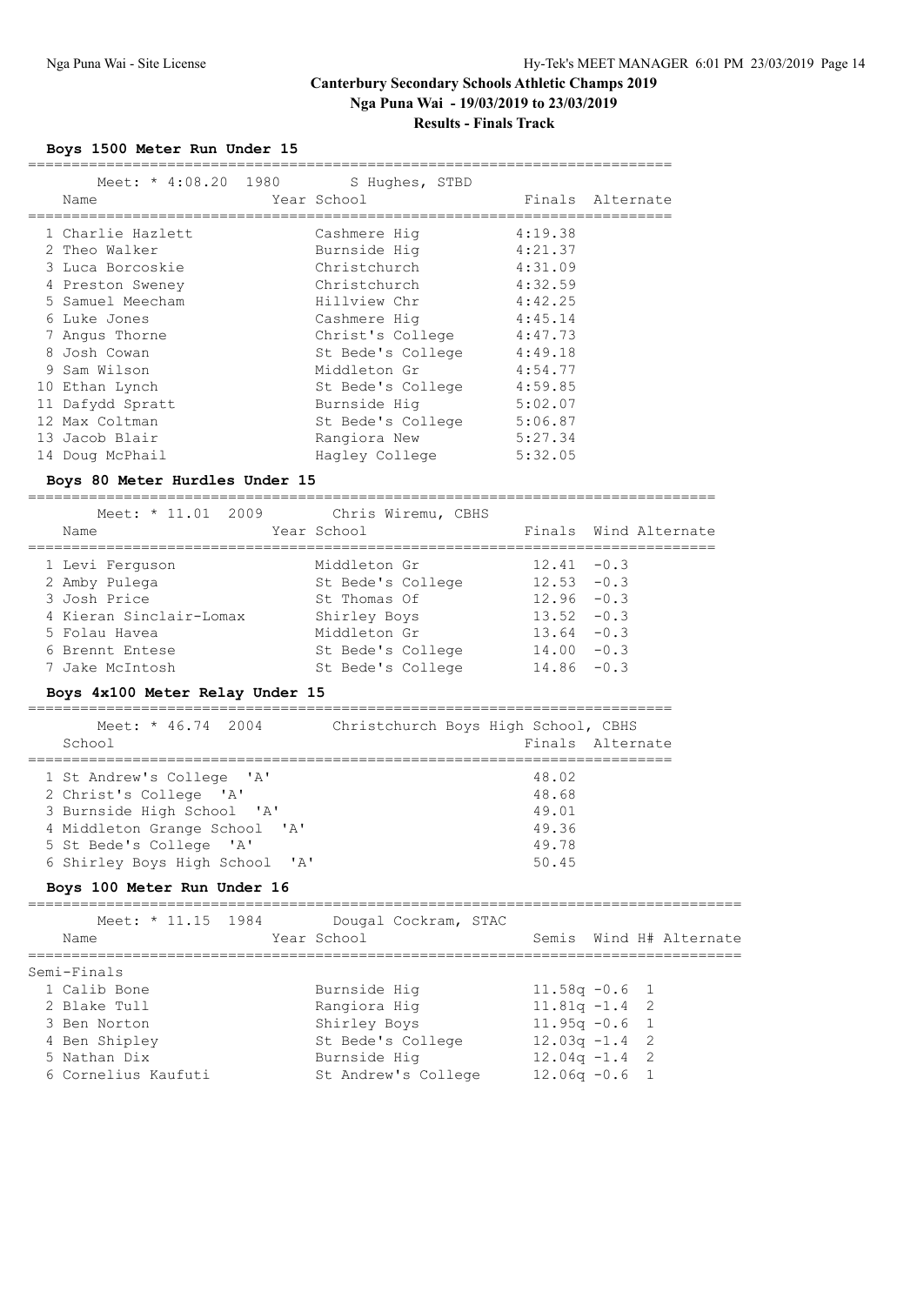# **Boys 1500 Meter Run Under 15**

| Meet: * 4:08.20 1980 | S Hughes, STBD    |         |                  |
|----------------------|-------------------|---------|------------------|
| Name                 | Year School       |         | Finals Alternate |
|                      |                   |         |                  |
| 1 Charlie Hazlett    | Cashmere Hig      | 4:19.38 |                  |
| 2 Theo Walker        | Burnside Hig      | 4:21.37 |                  |
| 3 Luca Borcoskie     | Christchurch      | 4:31.09 |                  |
| 4 Preston Sweney     | Christchurch      | 4:32.59 |                  |
| 5 Samuel Meecham     | Hillview Chr      | 4:42.25 |                  |
| 6 Luke Jones         | Cashmere Hig      | 4:45.14 |                  |
| 7 Angus Thorne       | Christ's College  | 4:47.73 |                  |
| 8 Josh Cowan         | St Bede's College | 4:49.18 |                  |
| 9 Sam Wilson         | Middleton Gr      | 4:54.77 |                  |
| 10 Ethan Lynch       | St Bede's College | 4:59.85 |                  |
| 11 Dafydd Spratt     | Burnside Hig      | 5:02.07 |                  |
| 12 Max Coltman       | St Bede's College | 5:06.87 |                  |
| 13 Jacob Blair       | Rangiora New      | 5:27.34 |                  |
| 14 Doug McPhail      | Hagley College    | 5:32.05 |                  |

# **Boys 80 Meter Hurdles Under 15**

===============================================================================

| Meet: * 11.01 2009<br>Name | Chris Wiremu, CBHS<br>Year School |               | Finals Wind Alternate |
|----------------------------|-----------------------------------|---------------|-----------------------|
| 1 Levi Ferquson            | Middleton Gr                      | $12.41 - 0.3$ |                       |
| 2 Amby Pulega              | St Bede's College                 | $12.53 - 0.3$ |                       |
| 3 Josh Price               | St. Thomas Of                     | $12.96 - 0.3$ |                       |
| 4 Kieran Sinclair-Lomax    | Shirley Boys                      | $13.52 - 0.3$ |                       |
| 5 Folau Havea              | Middleton Gr                      | $13.64 - 0.3$ |                       |
| 6 Brennt Entese            | St Bede's College                 | $14.00 - 0.3$ |                       |
| 7 Jake McIntosh            | St Bede's College                 | $14.86 - 0.3$ |                       |
|                            |                                   |               |                       |

#### **Boys 4x100 Meter Relay Under 15** ==========================================================================

| Meet: * 46.74 2004<br>School   | Christchurch Boys High School, CBHS<br>Finals Alternate |
|--------------------------------|---------------------------------------------------------|
| 1 St Andrew's College 'A'      | 48.02                                                   |
| 2 Christ's College 'A'         | 48.68                                                   |
| 3 Burnside High School 'A'     | 49.01                                                   |
| 4 Middleton Grange School 'A'  | 49.36                                                   |
| 5 St Bede's College 'A'        | 49.78                                                   |
| 6 Shirley Boys High School 'A' | 50.45                                                   |

#### **Boys 100 Meter Run Under 16**

| Meet: * 11.15 1984<br>Name |  | Year School  | Dougal Cockram, STAC |                  |  | Semis Wind H# Alternate |
|----------------------------|--|--------------|----------------------|------------------|--|-------------------------|
| Semi-Finals                |  |              |                      |                  |  |                         |
| 1 Calib Bone               |  | Burnside Hig |                      | $11.58q - 0.6$ 1 |  |                         |
| 2 Blake Tull               |  | Rangiora Hig |                      | $11.81q - 1.4$ 2 |  |                         |
| 3 Ben Norton               |  | Shirley Boys |                      | $11.95q - 0.6$ 1 |  |                         |
| 4 Ben Shipley              |  |              | St Bede's College    | $12.03q - 1.4$ 2 |  |                         |
| 5 Nathan Dix               |  | Burnside Hig |                      | $12.04q - 1.4$ 2 |  |                         |
| 6 Cornelius Kaufuti        |  |              | St Andrew's College  | $12.06q - 0.6$ 1 |  |                         |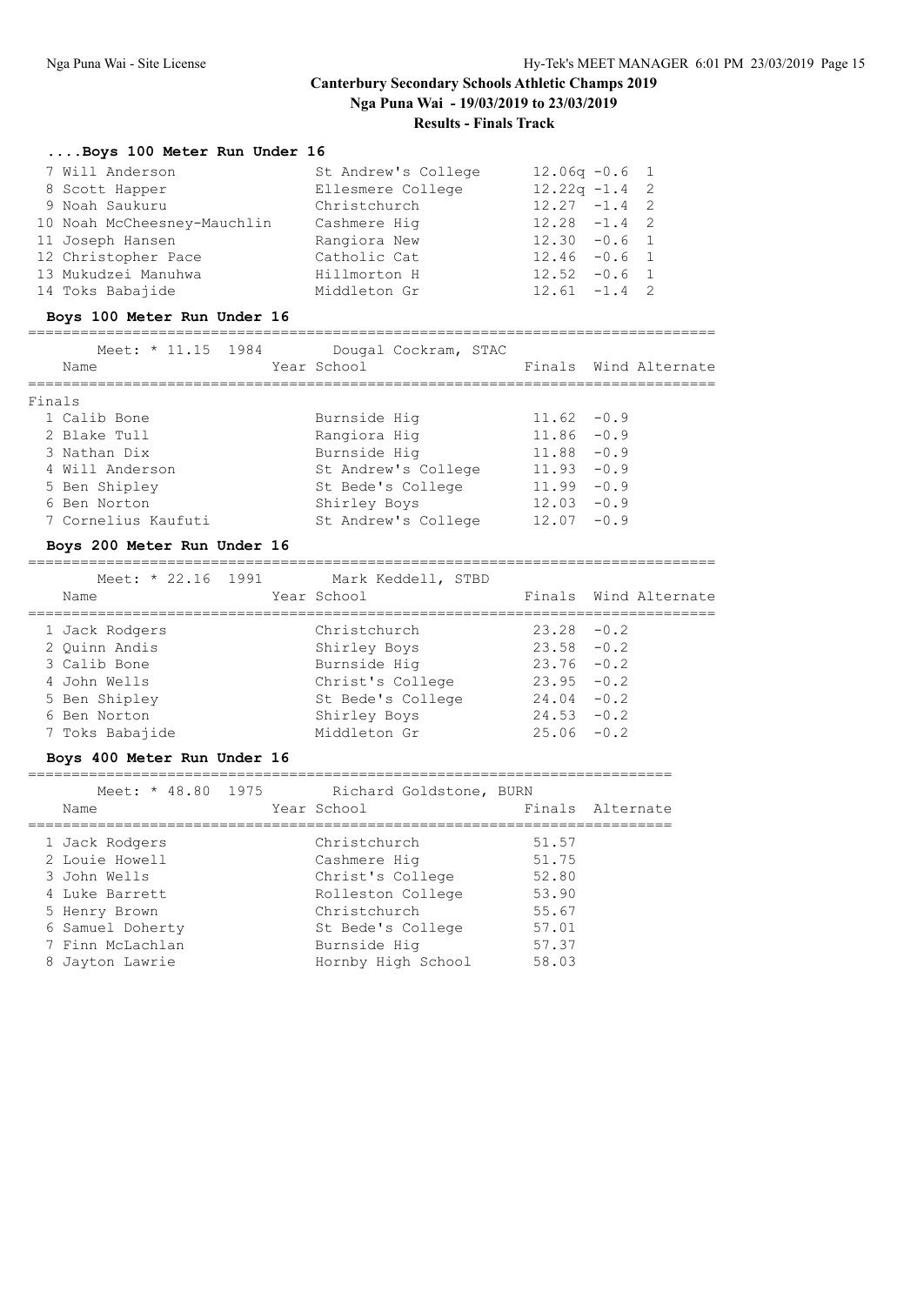#### **....Boys 100 Meter Run Under 16**

| 7 Will Anderson             | St Andrew's College | $12.06q - 0.6$ 1 |  |
|-----------------------------|---------------------|------------------|--|
| 8 Scott Happer              | Ellesmere College   | $12.22q - 1.4$ 2 |  |
| 9 Noah Saukuru              | Christchurch        | $12.27 -1.4$ 2   |  |
| 10 Noah McCheesney-Mauchlin | Cashmere Hig        | $12.28 - 1.4$ 2  |  |
| 11 Joseph Hansen            | Rangiora New        | $12.30 -0.6$ 1   |  |
| 12 Christopher Pace         | Catholic Cat        | $12.46 - 0.6$ 1  |  |
| 13 Mukudzei Manuhwa         | Hillmorton H        | $12.52 - 0.6$ 1  |  |
| 14 Toks Babajide            | Middleton Gr        | $12.61 - 1.4$ 2  |  |

#### **Boys 100 Meter Run Under 16**

===============================================================================

|        | Meet: * 11.15 1984<br>Name | Dougal Cockram, STAC<br>Year School |               | Finals Wind Alternate |
|--------|----------------------------|-------------------------------------|---------------|-----------------------|
| Finals |                            |                                     |               |                       |
|        | 1 Calib Bone               | Burnside Hig                        | $11.62 - 0.9$ |                       |
|        | 2 Blake Tull               | Rangiora Hig                        | $11.86 - 0.9$ |                       |
|        | 3 Nathan Dix               | Burnside Hig                        | $11.88 - 0.9$ |                       |
|        | 4 Will Anderson            | St Andrew's College                 | $11.93 - 0.9$ |                       |
|        | 5 Ben Shipley              | St Bede's College                   | 11.99         | $-0.9$                |
|        | 6 Ben Norton               | Shirley Boys                        | 12.03         | $-0.9$                |
|        | 7 Cornelius Kaufuti        | St Andrew's College                 | 12.07         | $-0.9$                |
|        |                            |                                     |               |                       |

#### **Boys 200 Meter Run Under 16**

=============================================================================== Meet: \* 22.16 1991 Mark Keddell, STBD

| MEEL. 44.IO IJJI | MAIN NEUUEII, SIDD |               |                       |
|------------------|--------------------|---------------|-----------------------|
| Name             | Year School        |               | Finals Wind Alternate |
| 1 Jack Rodgers   | Christchurch       | $23.28 - 0.2$ |                       |
| 2 Ouinn Andis    | Shirley Boys       | $23.58 - 0.2$ |                       |
| 3 Calib Bone     | Burnside Hig       | $23.76 - 0.2$ |                       |
| 4 John Wells     | Christ's College   | $23.95 - 0.2$ |                       |
| 5 Ben Shipley    | St Bede's College  | $24.04 - 0.2$ |                       |
| 6 Ben Norton     | Shirley Boys       | $24.53 - 0.2$ |                       |
| 7 Toks Babajide  | Middleton Gr       | $25.06 - 0.2$ |                       |
|                  |                    |               |                       |

# **Boys 400 Meter Run Under 16**

| Meet: * 48.80 1975<br>Name | Richard Goldstone, BURN<br>Year School |       | Finals Alternate |
|----------------------------|----------------------------------------|-------|------------------|
| 1 Jack Rodgers             | Christchurch                           | 51.57 |                  |
| 2 Louie Howell             | Cashmere Hig                           | 51.75 |                  |
| 3 John Wells               | Christ's College                       | 52.80 |                  |
| 4 Luke Barrett             | Rolleston College                      | 53.90 |                  |
| 5 Henry Brown              | Christchurch                           | 55.67 |                  |
| 6 Samuel Doherty           | St Bede's College                      | 57.01 |                  |
| 7 Finn McLachlan           | Burnside Hig                           | 57.37 |                  |
| 8 Jayton Lawrie            | Hornby High School                     | 58.03 |                  |
|                            |                                        |       |                  |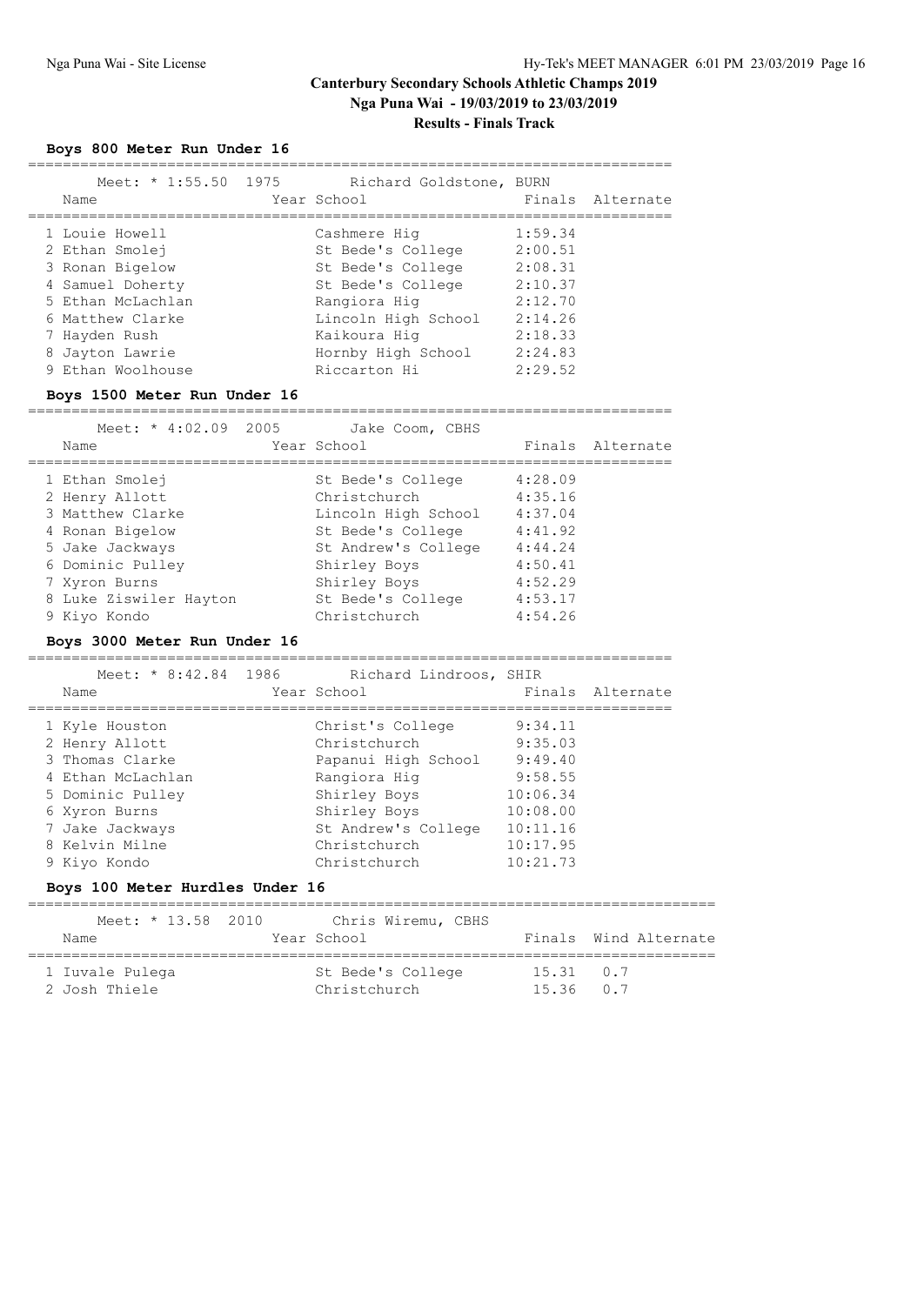#### **Boys 800 Meter Run Under 16**

| Meet: $*$ 1:55.50 1975<br>Name | Richard Goldstone, BURN<br>Year School |         | Finals Alternate |
|--------------------------------|----------------------------------------|---------|------------------|
| 1 Louie Howell                 | Cashmere Hig                           | 1:59.34 |                  |
| 2 Ethan Smolei                 | St Bede's College                      | 2:00.51 |                  |
| 3 Ronan Bigelow                | St Bede's College                      | 2:08.31 |                  |
| 4 Samuel Doherty               | St Bede's College                      | 2:10.37 |                  |
| 5 Ethan McLachlan              | Rangiora Hig                           | 2:12.70 |                  |
| 6 Matthew Clarke               | Lincoln High School                    | 2:14.26 |                  |
| 7 Hayden Rush                  | Kaikoura Hig                           | 2:18.33 |                  |
| 8 Jayton Lawrie                | Hornby High School                     | 2:24.83 |                  |
| 9 Ethan Woolhouse              | Riccarton Hi                           | 2:29.52 |                  |

#### **Boys 1500 Meter Run Under 16** ==========================================================================

| Meet: $*$ 4:02.09 2005 | Jake Coom, CBHS     |         |                  |
|------------------------|---------------------|---------|------------------|
| Name                   | Year School         |         | Finals Alternate |
| 1 Ethan Smolej         | St Bede's College   | 4:28.09 |                  |
| 2 Henry Allott         | Christchurch        | 4:35.16 |                  |
| 3 Matthew Clarke       | Lincoln High School | 4:37.04 |                  |
| 4 Ronan Bigelow        | St Bede's College   | 4:41.92 |                  |
| 5 Jake Jackways        | St Andrew's College | 4:44.24 |                  |
| 6 Dominic Pulley       | Shirley Boys        | 4:50.41 |                  |
| 7 Xyron Burns          | Shirley Boys        | 4:52.29 |                  |
| 8 Luke Ziswiler Hayton | St Bede's College   | 4:53.17 |                  |
| 9 Kiyo Kondo           | Christchurch        | 4:54.26 |                  |
|                        |                     |         |                  |

#### **Boys 3000 Meter Run Under 16**

| Meet: * 8:42.84 1986<br>Name | Richard Lindroos, SHIR<br>Year School |          | Finals Alternate |
|------------------------------|---------------------------------------|----------|------------------|
| 1 Kyle Houston               | Christ's College                      | 9:34.11  |                  |
| 2 Henry Allott               | Christchurch                          | 9:35.03  |                  |
| 3 Thomas Clarke              | Papanui High School                   | 9:49.40  |                  |
| 4 Ethan McLachlan            | Rangiora Hig                          | 9:58.55  |                  |
| 5 Dominic Pulley             | Shirley Boys                          | 10:06.34 |                  |
| 6 Xyron Burns                | Shirley Boys                          | 10:08.00 |                  |
| 7 Jake Jackways              | St Andrew's College                   | 10:11.16 |                  |
| 8 Kelvin Milne               | Christchurch                          | 10:17.95 |                  |
| 9 Kivo Kondo                 | Christchurch                          | 10:21.73 |                  |

#### **Boys 100 Meter Hurdles Under 16**

| Meet: $*$ 13.58 2010<br>Name | Chris Wiremu, CBHS<br>Year School |                    | Finals Wind Alternate |
|------------------------------|-----------------------------------|--------------------|-----------------------|
| 1 Iuvale Pulega              | St Bede's College                 | $15.31 \qquad 0.7$ |                       |
| 2 Josh Thiele                | Christchurch                      | 15.36 0.7          |                       |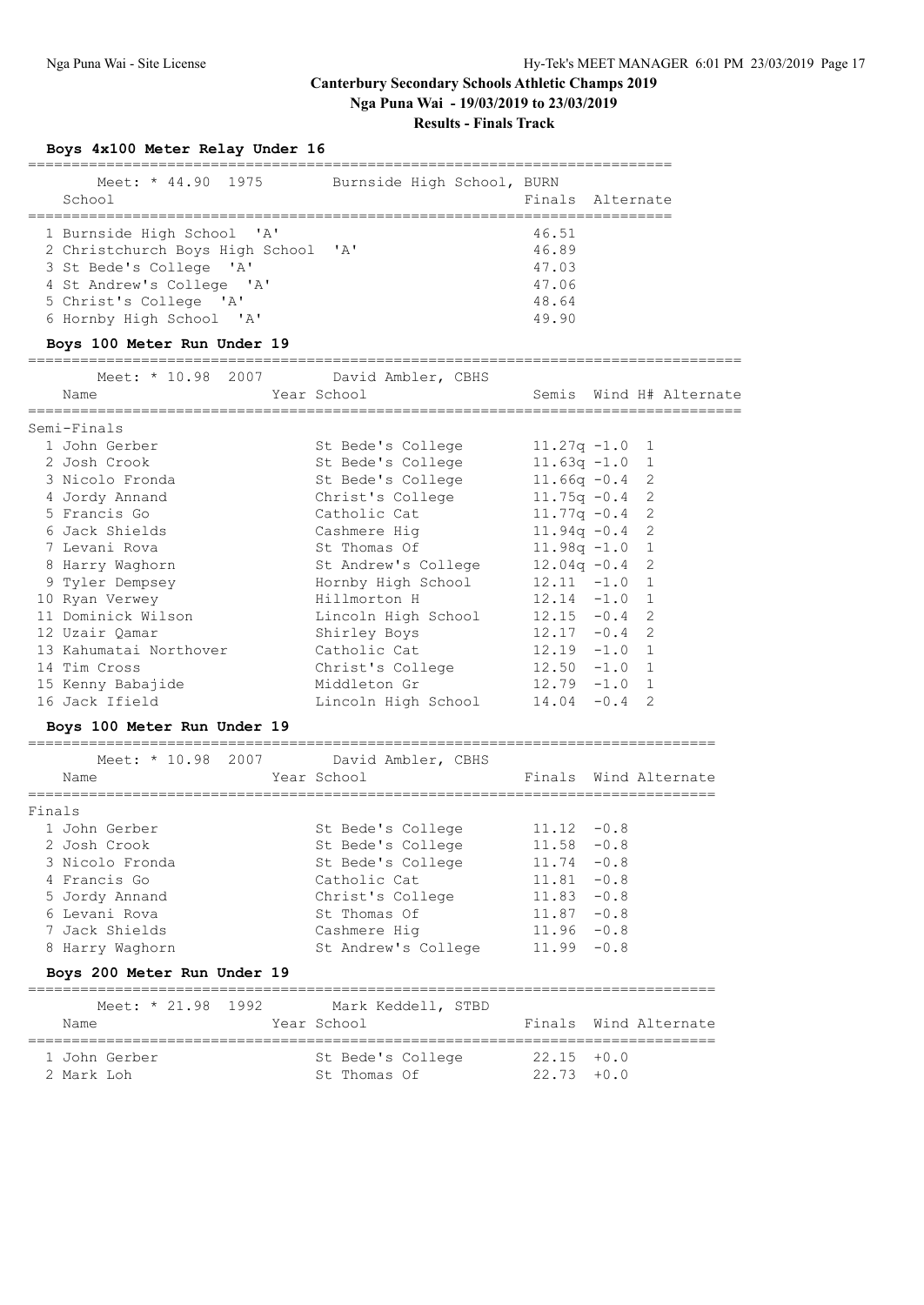#### **Boys 4x100 Meter Relay Under 16**

| Meet: * 44.90 1975<br>School                                                                                                                                                    | Burnside High School, BURN | Finals Alternate                                   |
|---------------------------------------------------------------------------------------------------------------------------------------------------------------------------------|----------------------------|----------------------------------------------------|
| 1 Burnside High School 'A'<br>2 Christchurch Boys High School 'A'<br>3 St Bede's College 'A'<br>4 St Andrew's College 'A'<br>5 Christ's College 'A'<br>6 Hornby High School 'A' |                            | 46.51<br>46.89<br>47.03<br>47.06<br>48.64<br>49.90 |

#### **Boys 100 Meter Run Under 19**

**Boys 200 Meter Run Under 19**

==================================================================================

|        | Name                        | Meet: * 10.98 2007 David Ambler, CBHS<br>Year School                                                                                                                                                                           |                  |        | Semis Wind H# Alternate |
|--------|-----------------------------|--------------------------------------------------------------------------------------------------------------------------------------------------------------------------------------------------------------------------------|------------------|--------|-------------------------|
|        | Semi-Finals                 |                                                                                                                                                                                                                                |                  |        |                         |
|        | 1 John Gerber               | St Bede's College                                                                                                                                                                                                              | $11.27q - 1.0$ 1 |        |                         |
|        | 2 Josh Crook                | St Bede's College                                                                                                                                                                                                              | $11.63q - 1.0$ 1 |        |                         |
|        | 3 Nicolo Fronda             | St Bede's College                                                                                                                                                                                                              | $11.66q -0.4$ 2  |        |                         |
|        | 4 Jordy Annand              | Christ's College                                                                                                                                                                                                               | $11.75q - 0.4$ 2 |        |                         |
|        | 5 Francis Go                | Catholic Cat the control of the control of the control of the control of the control of the control of the control of the control of the control of the control of the control of the control of the control of the control of | $11.77q - 0.4$ 2 |        |                         |
|        | 6 Jack Shields              | Cashmere Hig                                                                                                                                                                                                                   | $11.94q - 0.4$ 2 |        |                         |
|        | 7 Levani Rova               | St Thomas Of                                                                                                                                                                                                                   | $11.98q - 1.0$ 1 |        |                         |
|        | 8 Harry Waghorn             | St Andrew's College                                                                                                                                                                                                            | $12.04q - 0.4$ 2 |        |                         |
|        | 9 Tyler Dempsey             | Hornby High School                                                                                                                                                                                                             | $12.11 - 1.0 1$  |        |                         |
|        | 10 Ryan Verwey              | Hillmorton H                                                                                                                                                                                                                   | $12.14 - 1.0 1$  |        |                         |
|        | 11 Dominick Wilson          | Lincoln High School 12.15 -0.4 2                                                                                                                                                                                               |                  |        |                         |
|        | 12 Uzair Qamar              | $12.17 - 0.4$<br>Shirley Boys                                                                                                                                                                                                  |                  |        | $\overline{2}$          |
|        | 13 Kahumatai Northover      | Catholic Cat                                                                                                                                                                                                                   | $12.19 - 1.0 1$  |        |                         |
|        | 14 Tim Cross                | Christ's College $12.50 -1.0 1$                                                                                                                                                                                                |                  |        |                         |
|        | 15 Kenny Babajide           | Middleton Gr                                                                                                                                                                                                                   | $12.79 - 1.0 1$  |        |                         |
|        | 16 Jack Ifield              | Lincoln High School                                                                                                                                                                                                            | $14.04 - 0.4$ 2  |        |                         |
|        | Boys 100 Meter Run Under 19 |                                                                                                                                                                                                                                |                  |        |                         |
|        | Meet: * 10.98 2007          | David Ambler, CBHS                                                                                                                                                                                                             |                  |        |                         |
|        | Name                        | Year School                                                                                                                                                                                                                    |                  |        | Finals Wind Alternate   |
| Finals |                             |                                                                                                                                                                                                                                |                  |        |                         |
|        | 1 John Gerber               | St Bede's College 11.12 -0.8                                                                                                                                                                                                   |                  |        |                         |
|        | 2 Josh Crook                | St Bede's College 11.58 -0.8                                                                                                                                                                                                   |                  |        |                         |
|        | 3 Nicolo Fronda             | St Bede's College 11.74 -0.8                                                                                                                                                                                                   |                  |        |                         |
|        | 4 Francis Go                | Catholic Cat                                                                                                                                                                                                                   | 11.81            | $-0.8$ |                         |

 5 Jordy Annand Christ's College 11.83 -0.8 6 Levani Rova St Thomas Of 11.87 -0.8 7 Jack Shields Cashmere Hig 11.96 -0.8 8 Harry Waghorn St Andrew's College 11.99 -0.8

 1 John Gerber St Bede's College 22.15 +0.0 2 Mark Loh St Thomas Of 22.73 +0.0

Meet: \* 21.98 1992 Mark Keddell, STBD

===============================================================================

Name The Year School The School Finals Wind Alternate ===============================================================================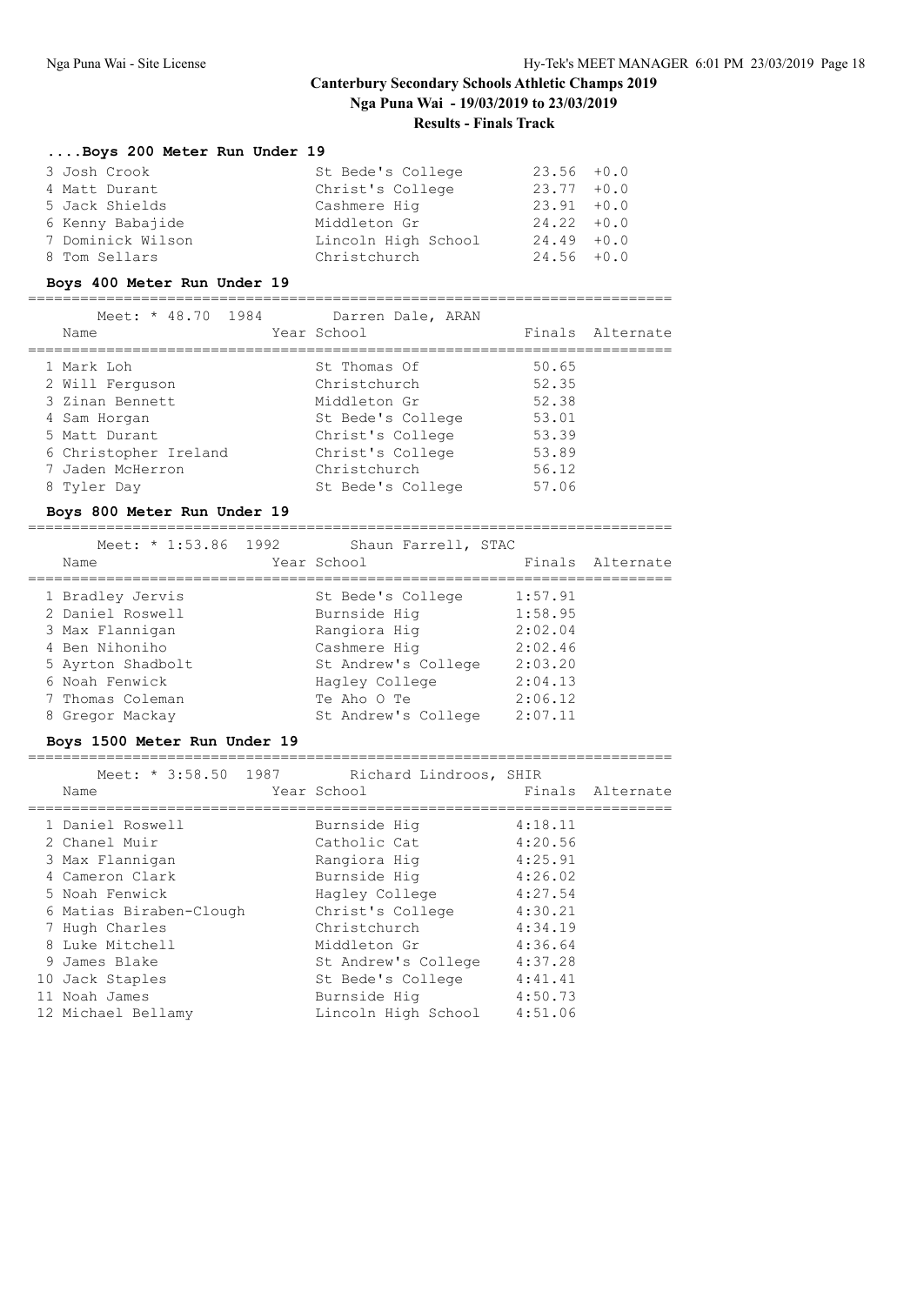#### **....Boys 200 Meter Run Under 19**

| 3 Josh Crook      | St Bede's College   | $23.56 + 0.0$ |  |
|-------------------|---------------------|---------------|--|
| 4 Matt Durant     | Christ's College    | $23.77 + 0.0$ |  |
| 5 Jack Shields    | Cashmere Hig        | $23.91 + 0.0$ |  |
| 6 Kenny Babajide  | Middleton Gr        | $24.22 + 0.0$ |  |
| 7 Dominick Wilson | Lincoln High School | $24.49 + 0.0$ |  |
| 8 Tom Sellars     | Christchurch        | $24.56 + 0.0$ |  |

#### **Boys 400 Meter Run Under 19**

| Meet: * 48.70 1984<br>Name | Darren Dale, ARAN<br>Year School |       | Finals Alternate |
|----------------------------|----------------------------------|-------|------------------|
| 1 Mark Loh                 | St. Thomas Of                    | 50.65 |                  |
| 2 Will Ferguson            | Christchurch                     | 52.35 |                  |
| 3 Zinan Bennett            | Middleton Gr                     | 52.38 |                  |
| 4 Sam Horgan               | St Bede's College                | 53.01 |                  |
| 5 Matt Durant              | Christ's College                 | 53.39 |                  |
| 6 Christopher Ireland      | Christ's College                 | 53.89 |                  |
| 7 Jaden McHerron           | Christchurch                     | 56.12 |                  |
| 8 Tyler Day                | St Bede's College                | 57.06 |                  |

#### **Boys 800 Meter Run Under 19**

==========================================================================

| Meet: * 1:53.86 1992<br>Name | Year School | Shaun Farrell, STAC |         | Finals Alternate |
|------------------------------|-------------|---------------------|---------|------------------|
| 1 Bradley Jervis             |             | St Bede's College   | 1:57.91 |                  |
| 2 Daniel Roswell             |             | Burnside Hig        | 1:58.95 |                  |
| 3 Max Flannigan              |             | Rangiora Hig        | 2:02.04 |                  |
| 4 Ben Nihoniho               |             | Cashmere Hig        | 2:02.46 |                  |
| 5 Ayrton Shadbolt            |             | St Andrew's College | 2:03.20 |                  |
| 6 Noah Fenwick               |             | Hagley College      | 2:04.13 |                  |
| 7 Thomas Coleman             |             | Te Aho O Te         | 2:06.12 |                  |
| 8 Gregor Mackay              |             | St Andrew's College | 2:07.11 |                  |

#### **Boys 1500 Meter Run Under 19**

|  | Meet: * 3:58.50 1987    | Richard Lindroos, SHIR |         |                  |
|--|-------------------------|------------------------|---------|------------------|
|  | Name                    | Year School            |         | Finals Alternate |
|  |                         |                        |         |                  |
|  | 1 Daniel Roswell        | Burnside Hig           | 4:18.11 |                  |
|  | 2 Chanel Muir           | Catholic Cat           | 4:20.56 |                  |
|  | 3 Max Flannigan         | Rangiora Hig           | 4:25.91 |                  |
|  | 4 Cameron Clark         | Burnside Hig           | 4:26.02 |                  |
|  | 5 Noah Fenwick          | Hagley College         | 4:27.54 |                  |
|  | 6 Matias Biraben-Clough | Christ's College       | 4:30.21 |                  |
|  | 7 Hugh Charles          | Christchurch           | 4:34.19 |                  |
|  | 8 Luke Mitchell         | Middleton Gr           | 4:36.64 |                  |
|  | 9 James Blake           | St Andrew's College    | 4:37.28 |                  |
|  | 10 Jack Staples         | St Bede's College      | 4:41.41 |                  |
|  | 11 Noah James           | Burnside Hig           | 4:50.73 |                  |
|  | 12 Michael Bellamy      | Lincoln High School    | 4:51.06 |                  |
|  |                         |                        |         |                  |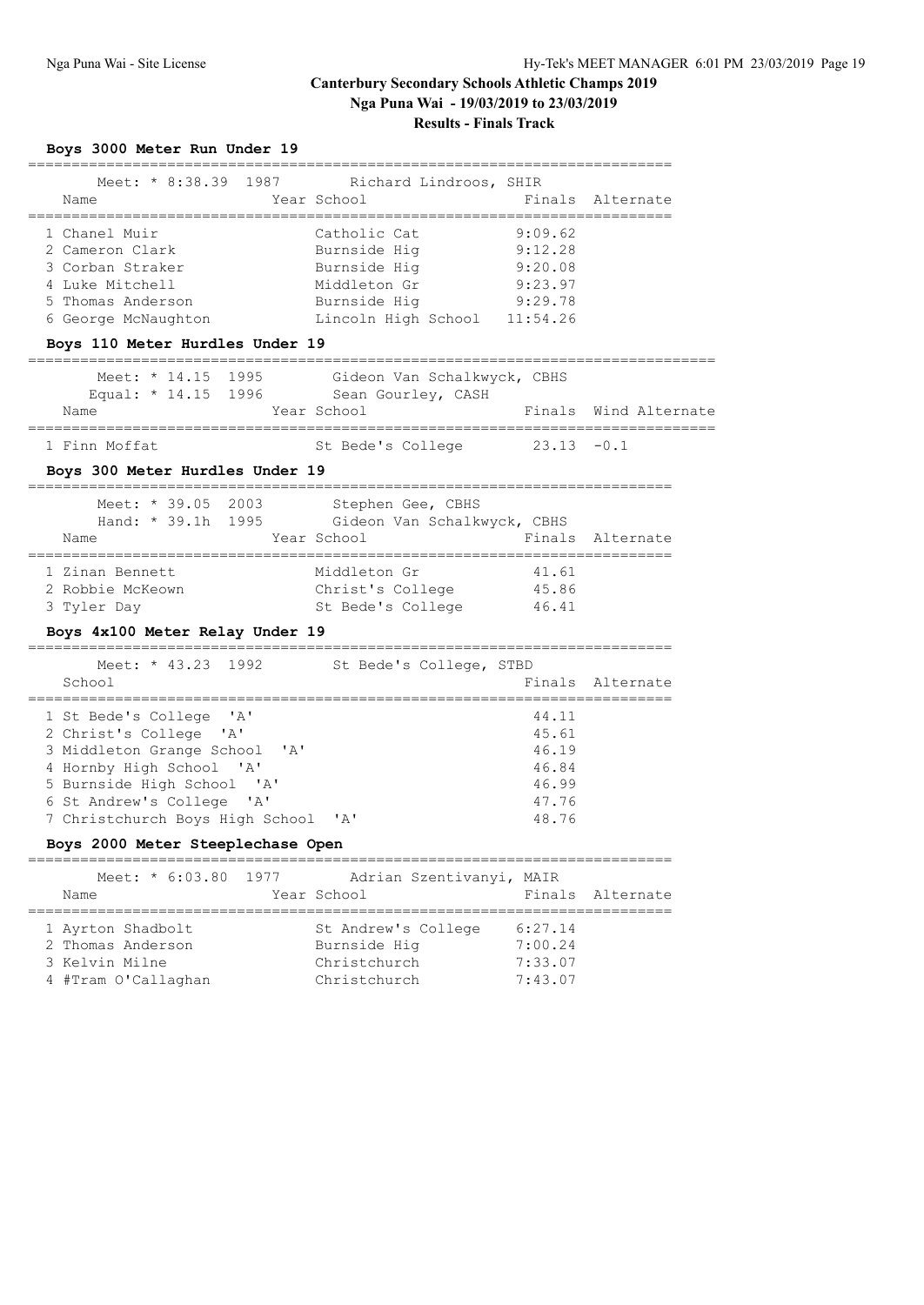# **Boys 3000 Meter Run Under 19**

|                                     | Meet: * 8:38.39 1987 Richard Lindroos, SHIR                           |                    |                       |
|-------------------------------------|-----------------------------------------------------------------------|--------------------|-----------------------|
| Name                                | Year School                                                           |                    | Finals Alternate      |
| 1 Chanel Muir<br>2 Cameron Clark    | Catholic Cat<br>Burnside Hiq                                          | 9:09.62<br>9:12.28 |                       |
| 3 Corban Straker                    | Burnside Hiq                                                          | 9:20.08            |                       |
| 4 Luke Mitchell                     | Middleton Gr                                                          | 9:23.97            |                       |
| 5 Thomas Anderson                   | Burnside Hig 9:29.78                                                  |                    |                       |
| 6 George McNaughton                 | Lincoln High School 11:54.26                                          |                    |                       |
| Boys 110 Meter Hurdles Under 19     |                                                                       |                    |                       |
| Meet: * 14.15 1995                  | Gideon Van Schalkwyck, CBHS<br>Equal: * 14.15 1996 Sean Gourley, CASH |                    |                       |
| Name                                | Year School                                                           |                    | Finals Wind Alternate |
| 1 Finn Moffat                       | St Bede's College $23.13 -0.1$                                        |                    |                       |
| Boys 300 Meter Hurdles Under 19     |                                                                       |                    |                       |
| Meet: * 39.05 2003                  | Stephen Gee, CBHS                                                     |                    |                       |
|                                     | Hand: * 39.1h 1995 Gideon Van Schalkwyck, CBHS                        |                    |                       |
| Name                                | Year School                                                           |                    | Finals Alternate      |
| 1 Zinan Bennett                     | Middleton Gr                                                          | 41.61              |                       |
| 2 Robbie McKeown                    | Christ's College 45.86                                                |                    |                       |
| 3 Tyler Day                         | St Bede's College 46.41                                               |                    |                       |
| Boys 4x100 Meter Relay Under 19     |                                                                       |                    |                       |
|                                     | Meet: * 43.23 1992 St Bede's College, STBD                            |                    |                       |
| School                              |                                                                       |                    | Finals Alternate      |
| 1 St Bede's College 'A'             |                                                                       | 44.11              |                       |
| 2 Christ's College 'A'              |                                                                       | 45.61              |                       |
| 3 Middleton Grange School 'A'       |                                                                       | 46.19              |                       |
| 4 Hornby High School 'A'            |                                                                       | 46.84              |                       |
| 5 Burnside High School 'A'          |                                                                       | 46.99              |                       |
| 6 St Andrew's College 'A'           |                                                                       | 47.76              |                       |
| 7 Christchurch Boys High School 'A' |                                                                       | 48.76              |                       |
| Boys 2000 Meter Steeplechase Open   |                                                                       |                    |                       |
| 1977<br>Meet: * 6:03.80             | Adrian Szentivanyi, MAIR                                              |                    |                       |
| Name                                | Year School                                                           | Finals             | Alternate             |
| 1 Ayrton Shadbolt                   | St Andrew's College                                                   | 6:27.14            |                       |
| 2 Thomas Anderson                   | Burnside Hig                                                          | 7:00.24            |                       |
| 3 Kelvin Milne                      | Christchurch                                                          | 7:33.07            |                       |

4 #Tram O'Callaghan Christchurch 7:43.07